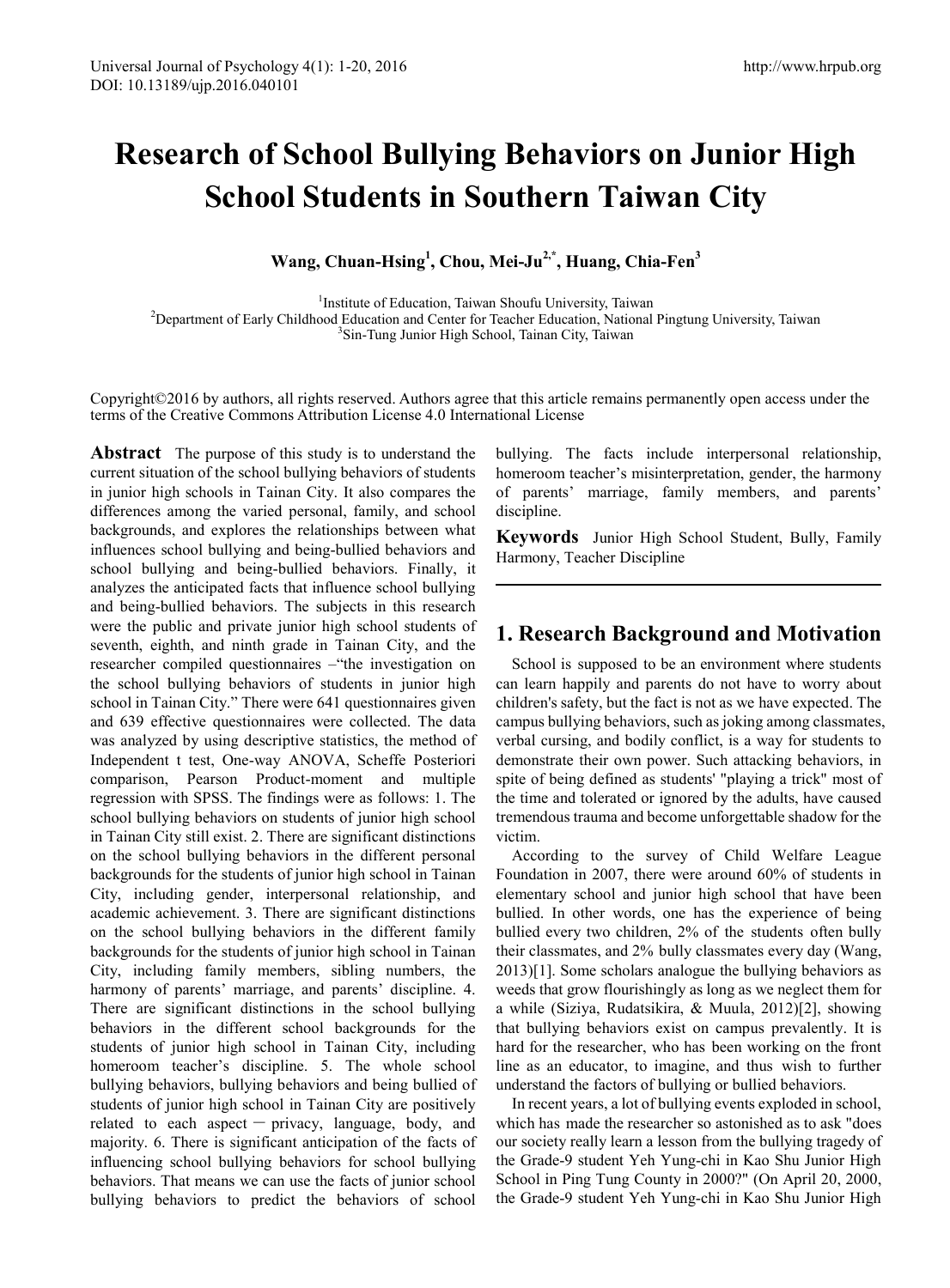# **Research of School Bullying Behaviors on Junior High School Students in Southern Taiwan City**

**Wang, Chuan-Hsing1 , Chou, Mei-Ju2,\*, Huang, Chia-Fen3**

<sup>1</sup>Institute of Education, Taiwan Shoufu University, Taiwan<sup>2</sup><br><sup>2</sup>Department of Early Childhood Education and Center for Teacher Education, National<sup>2</sup> <sup>2</sup>Department of Early Childhood Education and Center for Teacher Education, National Pingtung University, Taiwan <sup>3</sup>Sin-Tung Junior High School, Tainan City, Taiwan

Copyright©2016 by authors, all rights reserved. Authors agree that this article remains permanently open access under the terms of the Creative Commons Attribution License 4.0 International License

**Abstract** The purpose of this study is to understand the current situation of the school bullying behaviors of students in junior high schools in Tainan City. It also compares the differences among the varied personal, family, and school backgrounds, and explores the relationships between what influences school bullying and being-bullied behaviors and school bullying and being-bullied behaviors. Finally, it analyzes the anticipated facts that influence school bullying and being-bullied behaviors. The subjects in this research were the public and private junior high school students of seventh, eighth, and ninth grade in Tainan City, and the researcher compiled questionnaires –"the investigation on the school bullying behaviors of students in junior high school in Tainan City." There were 641 questionnaires given and 639 effective questionnaires were collected. The data was analyzed by using descriptive statistics, the method of Independent t test, One-way ANOVA, Scheffe Posteriori comparison, Pearson Product-moment and multiple regression with SPSS. The findings were as follows: 1. The school bullying behaviors on students of junior high school in Tainan City still exist. 2. There are significant distinctions on the school bullying behaviors in the different personal backgrounds for the students of junior high school in Tainan City, including gender, interpersonal relationship, and academic achievement. 3. There are significant distinctions on the school bullying behaviors in the different family backgrounds for the students of junior high school in Tainan City, including family members, sibling numbers, the harmony of parents' marriage, and parents' discipline. 4. There are significant distinctions in the school bullying behaviors in the different school backgrounds for the students of junior high school in Tainan City, including homeroom teacher's discipline. 5. The whole school bullying behaviors, bullying behaviors and being bullied of students of junior high school in Tainan City are positively related to each aspect  $-$  privacy, language, body, and majority. 6. There is significant anticipation of the facts of influencing school bullying behaviors for school bullying behaviors. That means we can use the facts of junior school bullying behaviors to predict the behaviors of school bullying. The facts include interpersonal relationship, homeroom teacher's misinterpretation, gender, the harmony of parents' marriage, family members, and parents' discipline.

**Keywords** Junior High School Student, Bully, Family Harmony, Teacher Discipline

# **1. Research Background and Motivation**

School is supposed to be an environment where students can learn happily and parents do not have to worry about children's safety, but the fact is not as we have expected. The campus bullying behaviors, such as joking among classmates, verbal cursing, and bodily conflict, is a way for students to demonstrate their own power. Such attacking behaviors, in spite of being defined as students' "playing a trick" most of the time and tolerated or ignored by the adults, have caused tremendous trauma and become unforgettable shadow for the victim.

According to the survey of Child Welfare League Foundation in 2007, there were around 60% of students in elementary school and junior high school that have been bullied. In other words, one has the experience of being bullied every two children, 2% of the students often bully their classmates, and 2% bully classmates every day (Wang, 2013)[1]. Some scholars analogue the bullying behaviors as weeds that grow flourishingly as long as we neglect them for a while (Siziya, Rudatsikira, & Muula, 2012)[2], showing that bullying behaviors exist on campus prevalently. It is hard for the researcher, who has been working on the front line as an educator, to imagine, and thus wish to further understand the factors of bullying or bullied behaviors.

In recent years, a lot of bullying events exploded in school, which has made the researcher so astonished as to ask "does our society really learn a lesson from the bullying tragedy of the Grade-9 student Yeh Yung-chi in Kao Shu Junior High School in Ping Tung County in 2000?" (On April 20, 2000, the Grade-9 student Yeh Yung-chi in Kao Shu Junior High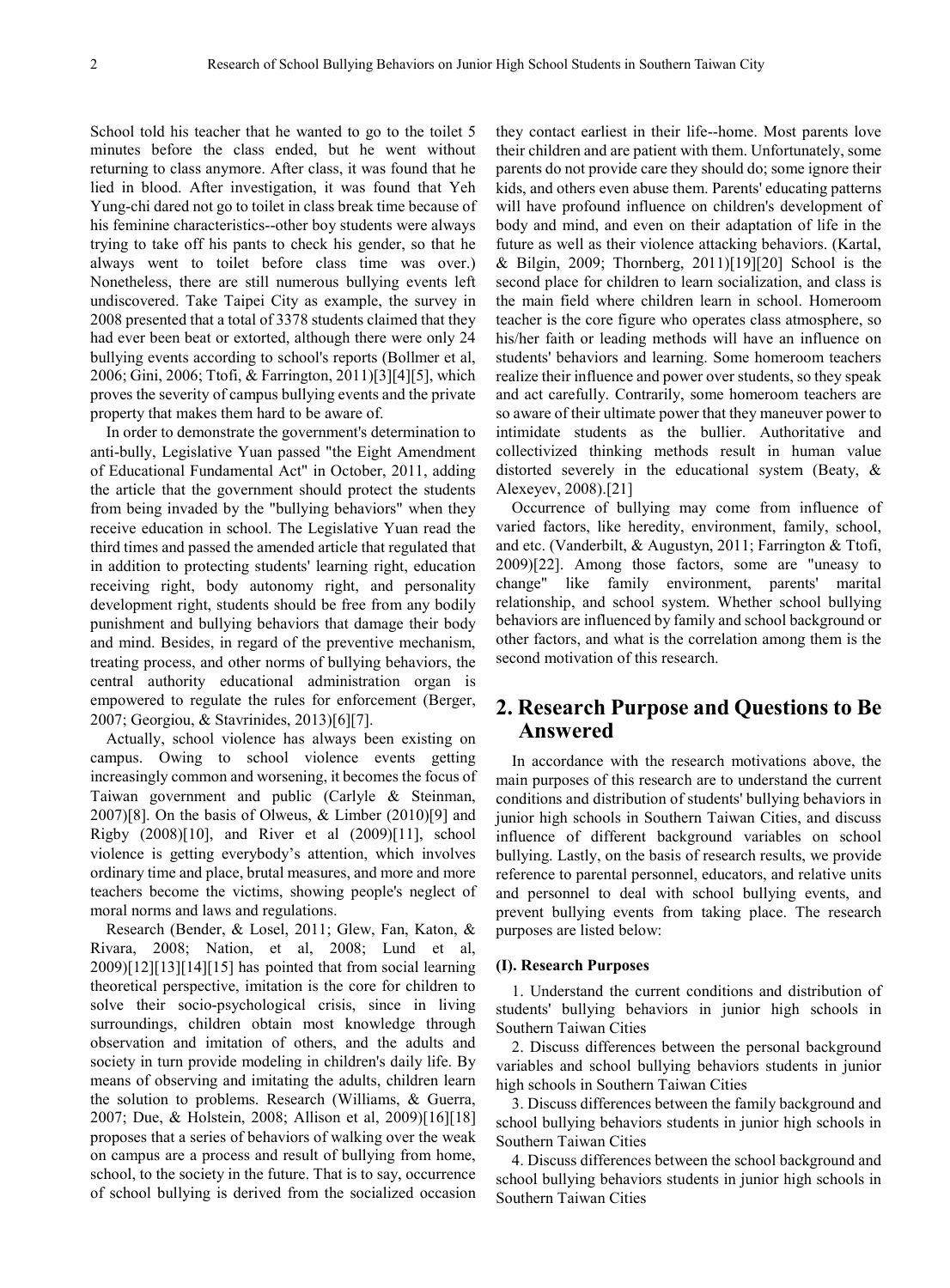School told his teacher that he wanted to go to the toilet 5 minutes before the class ended, but he went without returning to class anymore. After class, it was found that he lied in blood. After investigation, it was found that Yeh Yung-chi dared not go to toilet in class break time because of his feminine characteristics--other boy students were always trying to take off his pants to check his gender, so that he always went to toilet before class time was over.) Nonetheless, there are still numerous bullying events left undiscovered. Take Taipei City as example, the survey in 2008 presented that a total of 3378 students claimed that they had ever been beat or extorted, although there were only 24 bullying events according to school's reports (Bollmer et al, 2006; Gini, 2006; Ttofi, & Farrington, 2011)[3][4][5], which proves the severity of campus bullying events and the private property that makes them hard to be aware of.

In order to demonstrate the government's determination to anti-bully, Legislative Yuan passed "the Eight Amendment of Educational Fundamental Act" in October, 2011, adding the article that the government should protect the students from being invaded by the "bullying behaviors" when they receive education in school. The Legislative Yuan read the third times and passed the amended article that regulated that in addition to protecting students' learning right, education receiving right, body autonomy right, and personality development right, students should be free from any bodily punishment and bullying behaviors that damage their body and mind. Besides, in regard of the preventive mechanism, treating process, and other norms of bullying behaviors, the central authority educational administration organ is empowered to regulate the rules for enforcement (Berger, 2007; Georgiou, & Stavrinides, 2013)[6][7].

Actually, school violence has always been existing on campus. Owing to school violence events getting increasingly common and worsening, it becomes the focus of Taiwan government and public (Carlyle & Steinman, 2007)[8]. On the basis of Olweus, & Limber (2010)[9] and Rigby (2008)[10], and River et al (2009)[11], school violence is getting everybody's attention, which involves ordinary time and place, brutal measures, and more and more teachers become the victims, showing people's neglect of moral norms and laws and regulations.

Research (Bender, & Losel, 2011; Glew, Fan, Katon, & Rivara, 2008; Nation, et al, 2008; Lund et al,  $2009$ [12][13][14][15] has pointed that from social learning theoretical perspective, imitation is the core for children to solve their socio-psychological crisis, since in living surroundings, children obtain most knowledge through observation and imitation of others, and the adults and society in turn provide modeling in children's daily life. By means of observing and imitating the adults, children learn the solution to problems. Research (Williams, & Guerra, 2007; Due, & Holstein, 2008; Allison et al, 2009)[16][18] proposes that a series of behaviors of walking over the weak on campus are a process and result of bullying from home, school, to the society in the future. That is to say, occurrence of school bullying is derived from the socialized occasion

they contact earliest in their life--home. Most parents love their children and are patient with them. Unfortunately, some parents do not provide care they should do; some ignore their kids, and others even abuse them. Parents' educating patterns will have profound influence on children's development of body and mind, and even on their adaptation of life in the future as well as their violence attacking behaviors. (Kartal, & Bilgin, 2009; Thornberg, 2011)[19][20] School is the second place for children to learn socialization, and class is the main field where children learn in school. Homeroom teacher is the core figure who operates class atmosphere, so his/her faith or leading methods will have an influence on students' behaviors and learning. Some homeroom teachers realize their influence and power over students, so they speak and act carefully. Contrarily, some homeroom teachers are so aware of their ultimate power that they maneuver power to intimidate students as the bullier. Authoritative and collectivized thinking methods result in human value distorted severely in the educational system (Beaty, & Alexeyev, 2008).[21]

Occurrence of bullying may come from influence of varied factors, like heredity, environment, family, school, and etc. (Vanderbilt, & Augustyn, 2011; Farrington & Ttofi, 2009)[22]. Among those factors, some are "uneasy to change" like family environment, parents' marital relationship, and school system. Whether school bullying behaviors are influenced by family and school background or other factors, and what is the correlation among them is the second motivation of this research.

# **2. Research Purpose and Questions to Be Answered**

In accordance with the research motivations above, the main purposes of this research are to understand the current conditions and distribution of students' bullying behaviors in junior high schools in Southern Taiwan Cities, and discuss influence of different background variables on school bullying. Lastly, on the basis of research results, we provide reference to parental personnel, educators, and relative units and personnel to deal with school bullying events, and prevent bullying events from taking place. The research purposes are listed below:

#### **(I). Research Purposes**

1. Understand the current conditions and distribution of students' bullying behaviors in junior high schools in Southern Taiwan Cities

2. Discuss differences between the personal background variables and school bullying behaviors students in junior high schools in Southern Taiwan Cities

3. Discuss differences between the family background and school bullying behaviors students in junior high schools in Southern Taiwan Cities

4. Discuss differences between the school background and school bullying behaviors students in junior high schools in Southern Taiwan Cities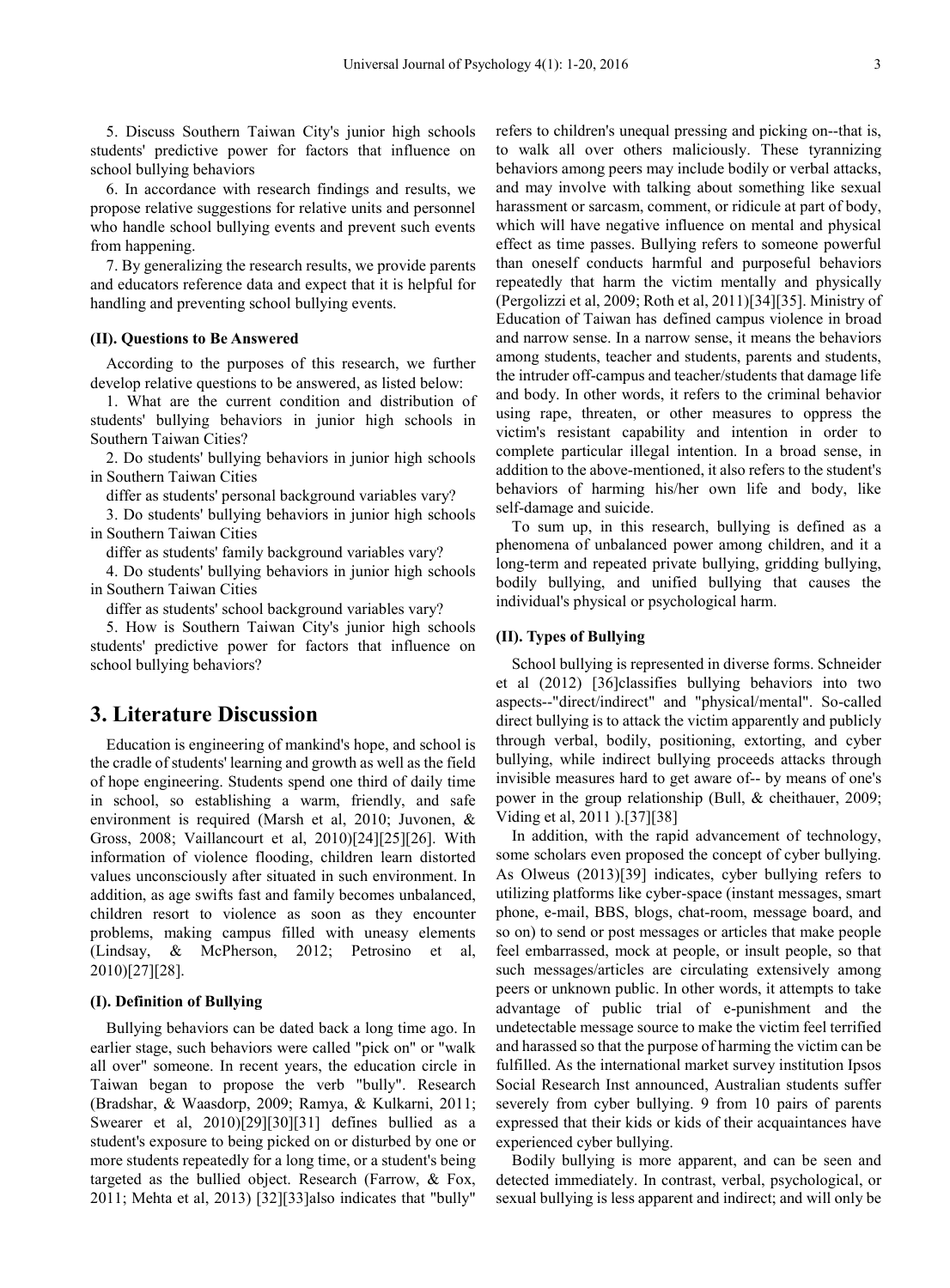5. Discuss Southern Taiwan City's junior high schools students' predictive power for factors that influence on school bullying behaviors

6. In accordance with research findings and results, we propose relative suggestions for relative units and personnel who handle school bullying events and prevent such events from happening.

7. By generalizing the research results, we provide parents and educators reference data and expect that it is helpful for handling and preventing school bullying events.

#### **(II). Questions to Be Answered**

According to the purposes of this research, we further develop relative questions to be answered, as listed below:

1. What are the current condition and distribution of students' bullying behaviors in junior high schools in Southern Taiwan Cities?

2. Do students' bullying behaviors in junior high schools in Southern Taiwan Cities

differ as students' personal background variables vary?

3. Do students' bullying behaviors in junior high schools in Southern Taiwan Cities

differ as students' family background variables vary?

4. Do students' bullying behaviors in junior high schools in Southern Taiwan Cities

differ as students' school background variables vary?

5. How is Southern Taiwan City's junior high schools students' predictive power for factors that influence on school bullying behaviors?

# **3. Literature Discussion**

Education is engineering of mankind's hope, and school is the cradle of students' learning and growth as well as the field of hope engineering. Students spend one third of daily time in school, so establishing a warm, friendly, and safe environment is required (Marsh et al, 2010; Juvonen, & Gross, 2008; Vaillancourt et al, 2010)[24][25][26]. With information of violence flooding, children learn distorted values unconsciously after situated in such environment. In addition, as age swifts fast and family becomes unbalanced, children resort to violence as soon as they encounter problems, making campus filled with uneasy elements (Lindsay, & McPherson, 2012; Petrosino et al, 2010)[27][28].

#### **(I). Definition of Bullying**

Bullying behaviors can be dated back a long time ago. In earlier stage, such behaviors were called "pick on" or "walk all over" someone. In recent years, the education circle in Taiwan began to propose the verb "bully". Research (Bradshar, & Waasdorp, 2009; Ramya, & Kulkarni, 2011; Swearer et al, 2010)[29][30][31] defines bullied as a student's exposure to being picked on or disturbed by one or more students repeatedly for a long time, or a student's being targeted as the bullied object. Research (Farrow, & Fox, 2011; Mehta et al, 2013) [32][33]also indicates that "bully"

refers to children's unequal pressing and picking on--that is, to walk all over others maliciously. These tyrannizing behaviors among peers may include bodily or verbal attacks, and may involve with talking about something like sexual harassment or sarcasm, comment, or ridicule at part of body, which will have negative influence on mental and physical effect as time passes. Bullying refers to someone powerful than oneself conducts harmful and purposeful behaviors repeatedly that harm the victim mentally and physically (Pergolizzi et al, 2009; Roth et al, 2011)[34][35]. Ministry of Education of Taiwan has defined campus violence in broad and narrow sense. In a narrow sense, it means the behaviors among students, teacher and students, parents and students, the intruder off-campus and teacher/students that damage life and body. In other words, it refers to the criminal behavior using rape, threaten, or other measures to oppress the victim's resistant capability and intention in order to complete particular illegal intention. In a broad sense, in addition to the above-mentioned, it also refers to the student's behaviors of harming his/her own life and body, like self-damage and suicide.

To sum up, in this research, bullying is defined as a phenomena of unbalanced power among children, and it a long-term and repeated private bullying, gridding bullying, bodily bullying, and unified bullying that causes the individual's physical or psychological harm.

## **(II). Types of Bullying**

School bullying is represented in diverse forms. Schneider et al (2012) [36]classifies bullying behaviors into two aspects--"direct/indirect" and "physical/mental". So-called direct bullying is to attack the victim apparently and publicly through verbal, bodily, positioning, extorting, and cyber bullying, while indirect bullying proceeds attacks through invisible measures hard to get aware of-- by means of one's power in the group relationship (Bull, & cheithauer, 2009; Viding et al, 2011 ).[37][38]

In addition, with the rapid advancement of technology, some scholars even proposed the concept of cyber bullying. As Olweus (2013)[39] indicates, cyber bullying refers to utilizing platforms like cyber-space (instant messages, smart phone, e-mail, BBS, blogs, chat-room, message board, and so on) to send or post messages or articles that make people feel embarrassed, mock at people, or insult people, so that such messages/articles are circulating extensively among peers or unknown public. In other words, it attempts to take advantage of public trial of e-punishment and the undetectable message source to make the victim feel terrified and harassed so that the purpose of harming the victim can be fulfilled. As the international market survey institution Ipsos Social Research Inst announced, Australian students suffer severely from cyber bullying. 9 from 10 pairs of parents expressed that their kids or kids of their acquaintances have experienced cyber bullying.

Bodily bullying is more apparent, and can be seen and detected immediately. In contrast, verbal, psychological, or sexual bullying is less apparent and indirect; and will only be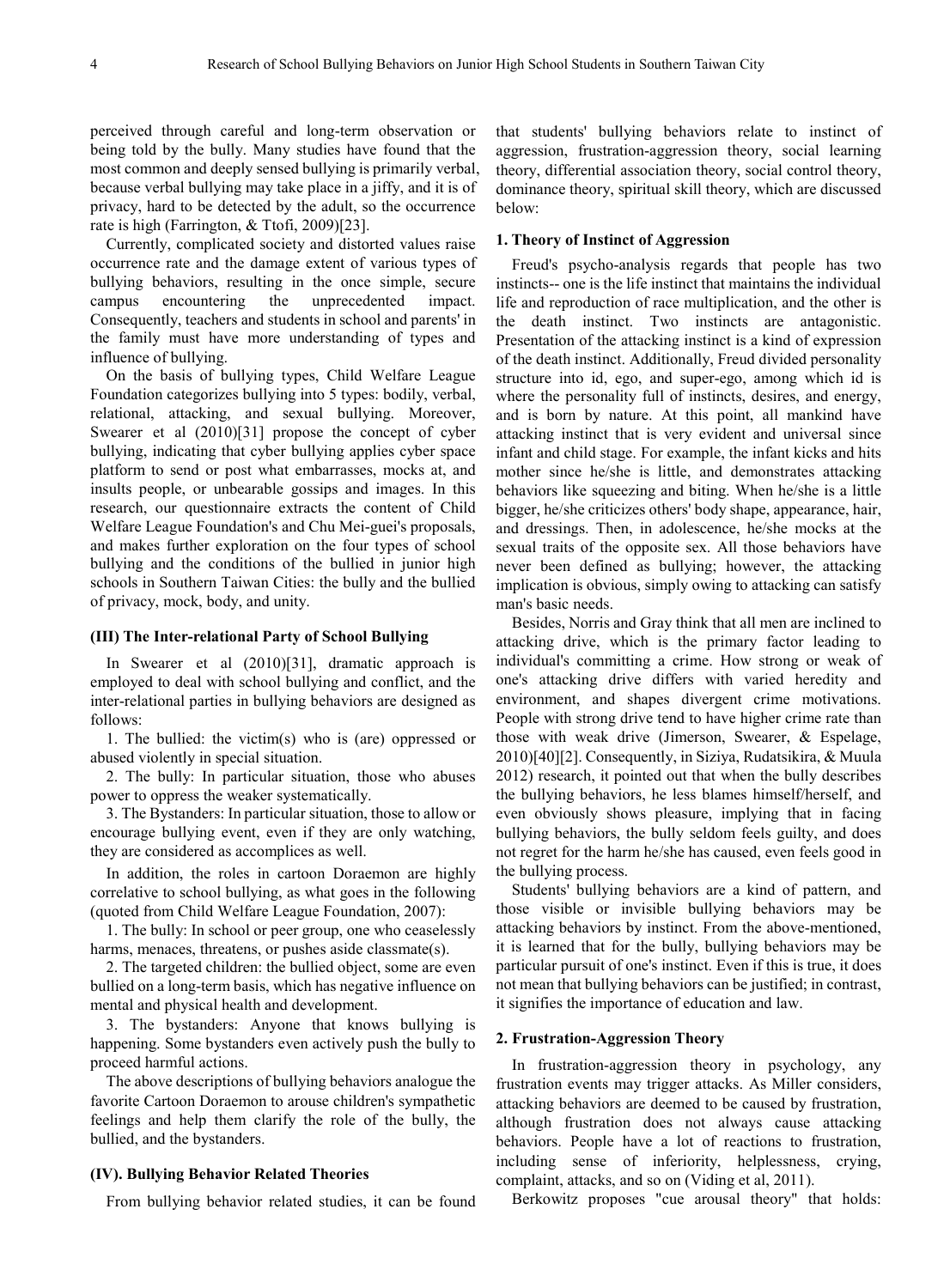perceived through careful and long-term observation or being told by the bully. Many studies have found that the most common and deeply sensed bullying is primarily verbal, because verbal bullying may take place in a jiffy, and it is of privacy, hard to be detected by the adult, so the occurrence rate is high (Farrington, & Ttofi, 2009)[23].

Currently, complicated society and distorted values raise occurrence rate and the damage extent of various types of bullying behaviors, resulting in the once simple, secure campus encountering the unprecedented impact. Consequently, teachers and students in school and parents' in the family must have more understanding of types and influence of bullying.

On the basis of bullying types, Child Welfare League Foundation categorizes bullying into 5 types: bodily, verbal, relational, attacking, and sexual bullying. Moreover, Swearer et al (2010)[31] propose the concept of cyber bullying, indicating that cyber bullying applies cyber space platform to send or post what embarrasses, mocks at, and insults people, or unbearable gossips and images. In this research, our questionnaire extracts the content of Child Welfare League Foundation's and Chu Mei-guei's proposals, and makes further exploration on the four types of school bullying and the conditions of the bullied in junior high schools in Southern Taiwan Cities: the bully and the bullied of privacy, mock, body, and unity.

#### **(III) The Inter-relational Party of School Bullying**

In Swearer et al (2010)[31], dramatic approach is employed to deal with school bullying and conflict, and the inter-relational parties in bullying behaviors are designed as follows:

1. The bullied: the victim(s) who is (are) oppressed or abused violently in special situation.

2. The bully: In particular situation, those who abuses power to oppress the weaker systematically.

3. The Bystanders: In particular situation, those to allow or encourage bullying event, even if they are only watching, they are considered as accomplices as well.

In addition, the roles in cartoon Doraemon are highly correlative to school bullying, as what goes in the following (quoted from Child Welfare League Foundation, 2007):

1. The bully: In school or peer group, one who ceaselessly harms, menaces, threatens, or pushes aside classmate(s).

2. The targeted children: the bullied object, some are even bullied on a long-term basis, which has negative influence on mental and physical health and development.

3. The bystanders: Anyone that knows bullying is happening. Some bystanders even actively push the bully to proceed harmful actions.

The above descriptions of bullying behaviors analogue the favorite Cartoon Doraemon to arouse children's sympathetic feelings and help them clarify the role of the bully, the bullied, and the bystanders.

#### **(IV). Bullying Behavior Related Theories**

From bullying behavior related studies, it can be found

that students' bullying behaviors relate to instinct of aggression, frustration-aggression theory, social learning theory, differential association theory, social control theory, dominance theory, spiritual skill theory, which are discussed below:

#### **1. Theory of Instinct of Aggression**

Freud's psycho-analysis regards that people has two instincts-- one is the life instinct that maintains the individual life and reproduction of race multiplication, and the other is the death instinct. Two instincts are antagonistic. Presentation of the attacking instinct is a kind of expression of the death instinct. Additionally, Freud divided personality structure into id, ego, and super-ego, among which id is where the personality full of instincts, desires, and energy, and is born by nature. At this point, all mankind have attacking instinct that is very evident and universal since infant and child stage. For example, the infant kicks and hits mother since he/she is little, and demonstrates attacking behaviors like squeezing and biting. When he/she is a little bigger, he/she criticizes others' body shape, appearance, hair, and dressings. Then, in adolescence, he/she mocks at the sexual traits of the opposite sex. All those behaviors have never been defined as bullying; however, the attacking implication is obvious, simply owing to attacking can satisfy man's basic needs.

Besides, Norris and Gray think that all men are inclined to attacking drive, which is the primary factor leading to individual's committing a crime. How strong or weak of one's attacking drive differs with varied heredity and environment, and shapes divergent crime motivations. People with strong drive tend to have higher crime rate than those with weak drive (Jimerson, Swearer, & Espelage, 2010)[40][2]. Consequently, in Siziya, Rudatsikira, & Muula 2012) research, it pointed out that when the bully describes the bullying behaviors, he less blames himself/herself, and even obviously shows pleasure, implying that in facing bullying behaviors, the bully seldom feels guilty, and does not regret for the harm he/she has caused, even feels good in the bullying process.

Students' bullying behaviors are a kind of pattern, and those visible or invisible bullying behaviors may be attacking behaviors by instinct. From the above-mentioned, it is learned that for the bully, bullying behaviors may be particular pursuit of one's instinct. Even if this is true, it does not mean that bullying behaviors can be justified; in contrast, it signifies the importance of education and law.

#### **2. Frustration-Aggression Theory**

In frustration-aggression theory in psychology, any frustration events may trigger attacks. As Miller considers, attacking behaviors are deemed to be caused by frustration, although frustration does not always cause attacking behaviors. People have a lot of reactions to frustration, including sense of inferiority, helplessness, crying, complaint, attacks, and so on (Viding et al, 2011).

Berkowitz proposes "cue arousal theory" that holds: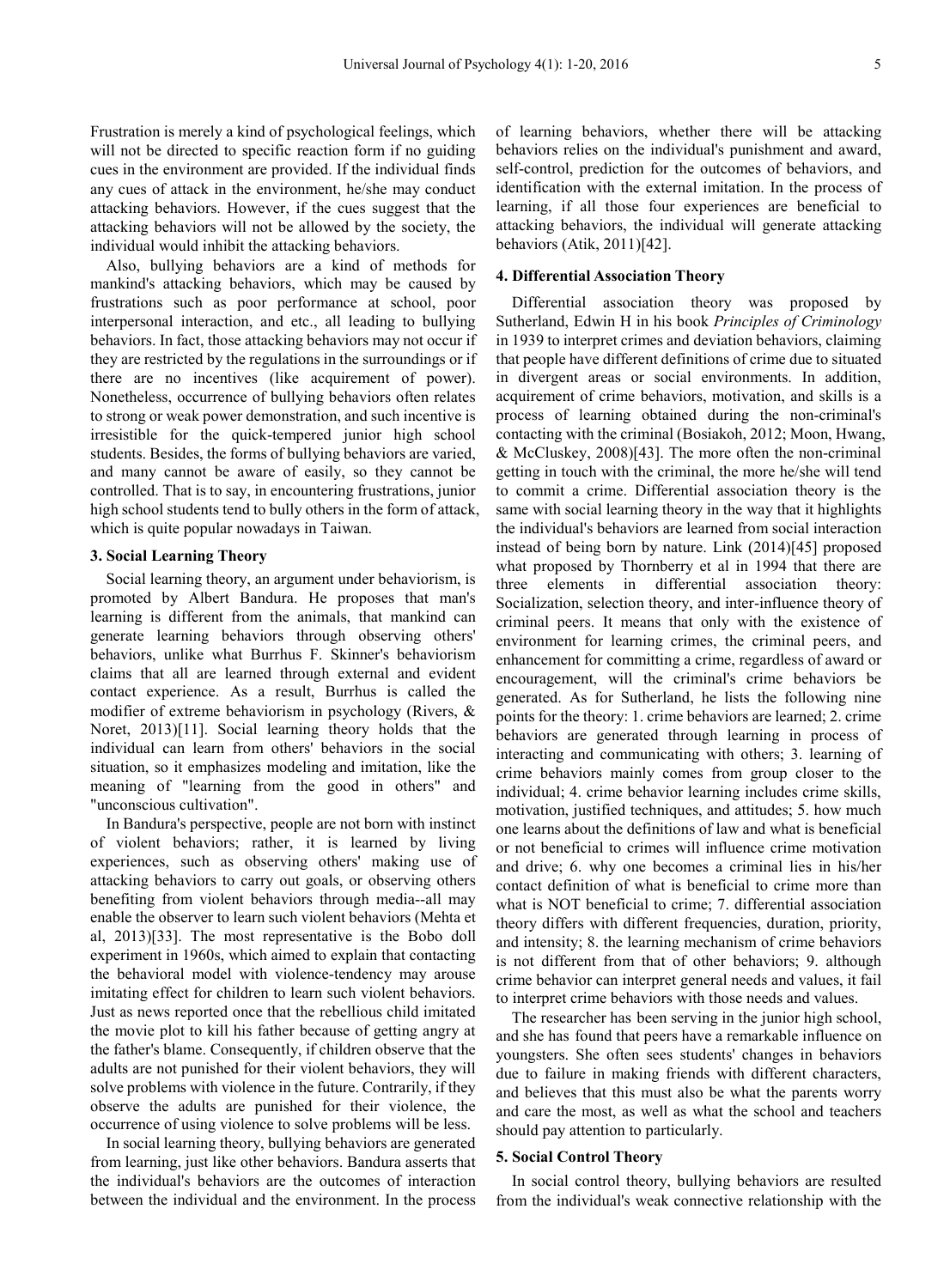Frustration is merely a kind of psychological feelings, which will not be directed to specific reaction form if no guiding cues in the environment are provided. If the individual finds any cues of attack in the environment, he/she may conduct attacking behaviors. However, if the cues suggest that the attacking behaviors will not be allowed by the society, the individual would inhibit the attacking behaviors.

Also, bullying behaviors are a kind of methods for mankind's attacking behaviors, which may be caused by frustrations such as poor performance at school, poor interpersonal interaction, and etc., all leading to bullying behaviors. In fact, those attacking behaviors may not occur if they are restricted by the regulations in the surroundings or if there are no incentives (like acquirement of power). Nonetheless, occurrence of bullying behaviors often relates to strong or weak power demonstration, and such incentive is irresistible for the quick-tempered junior high school students. Besides, the forms of bullying behaviors are varied, and many cannot be aware of easily, so they cannot be controlled. That is to say, in encountering frustrations, junior high school students tend to bully others in the form of attack, which is quite popular nowadays in Taiwan.

## **3. Social Learning Theory**

Social learning theory, an argument under behaviorism, is promoted by Albert Bandura. He proposes that man's learning is different from the animals, that mankind can generate learning behaviors through observing others' behaviors, unlike what Burrhus F. Skinner's behaviorism claims that all are learned through external and evident contact experience. As a result, Burrhus is called the modifier of extreme behaviorism in psychology (Rivers, & Noret, 2013)[11]. Social learning theory holds that the individual can learn from others' behaviors in the social situation, so it emphasizes modeling and imitation, like the meaning of "learning from the good in others" and "unconscious cultivation".

In Bandura's perspective, people are not born with instinct of violent behaviors; rather, it is learned by living experiences, such as observing others' making use of attacking behaviors to carry out goals, or observing others benefiting from violent behaviors through media--all may enable the observer to learn such violent behaviors (Mehta et al, 2013)[33]. The most representative is the Bobo doll experiment in 1960s, which aimed to explain that contacting the behavioral model with violence-tendency may arouse imitating effect for children to learn such violent behaviors. Just as news reported once that the rebellious child imitated the movie plot to kill his father because of getting angry at the father's blame. Consequently, if children observe that the adults are not punished for their violent behaviors, they will solve problems with violence in the future. Contrarily, if they observe the adults are punished for their violence, the occurrence of using violence to solve problems will be less.

In social learning theory, bullying behaviors are generated from learning, just like other behaviors. Bandura asserts that the individual's behaviors are the outcomes of interaction between the individual and the environment. In the process of learning behaviors, whether there will be attacking behaviors relies on the individual's punishment and award, self-control, prediction for the outcomes of behaviors, and identification with the external imitation. In the process of learning, if all those four experiences are beneficial to attacking behaviors, the individual will generate attacking behaviors (Atik, 2011)[42].

#### **4. Differential Association Theory**

Differential association theory was proposed by Sutherland, Edwin H in his book *Principles of Criminology* in 1939 to interpret crimes and deviation behaviors, claiming that people have different definitions of crime due to situated in divergent areas or social environments. In addition, acquirement of crime behaviors, motivation, and skills is a process of learning obtained during the non-criminal's contacting with the criminal (Bosiakoh, 2012; Moon, Hwang, & McCluskey, 2008)[43]. The more often the non-criminal getting in touch with the criminal, the more he/she will tend to commit a crime. Differential association theory is the same with social learning theory in the way that it highlights the individual's behaviors are learned from social interaction instead of being born by nature. Link (2014)[45] proposed what proposed by Thornberry et al in 1994 that there are three elements in differential association theory: Socialization, selection theory, and inter-influence theory of criminal peers. It means that only with the existence of environment for learning crimes, the criminal peers, and enhancement for committing a crime, regardless of award or encouragement, will the criminal's crime behaviors be generated. As for Sutherland, he lists the following nine points for the theory: 1. crime behaviors are learned; 2. crime behaviors are generated through learning in process of interacting and communicating with others; 3. learning of crime behaviors mainly comes from group closer to the individual; 4. crime behavior learning includes crime skills, motivation, justified techniques, and attitudes; 5. how much one learns about the definitions of law and what is beneficial or not beneficial to crimes will influence crime motivation and drive; 6. why one becomes a criminal lies in his/her contact definition of what is beneficial to crime more than what is NOT beneficial to crime; 7. differential association theory differs with different frequencies, duration, priority, and intensity; 8. the learning mechanism of crime behaviors is not different from that of other behaviors; 9. although crime behavior can interpret general needs and values, it fail to interpret crime behaviors with those needs and values.

The researcher has been serving in the junior high school, and she has found that peers have a remarkable influence on youngsters. She often sees students' changes in behaviors due to failure in making friends with different characters, and believes that this must also be what the parents worry and care the most, as well as what the school and teachers should pay attention to particularly.

#### **5. Social Control Theory**

In social control theory, bullying behaviors are resulted from the individual's weak connective relationship with the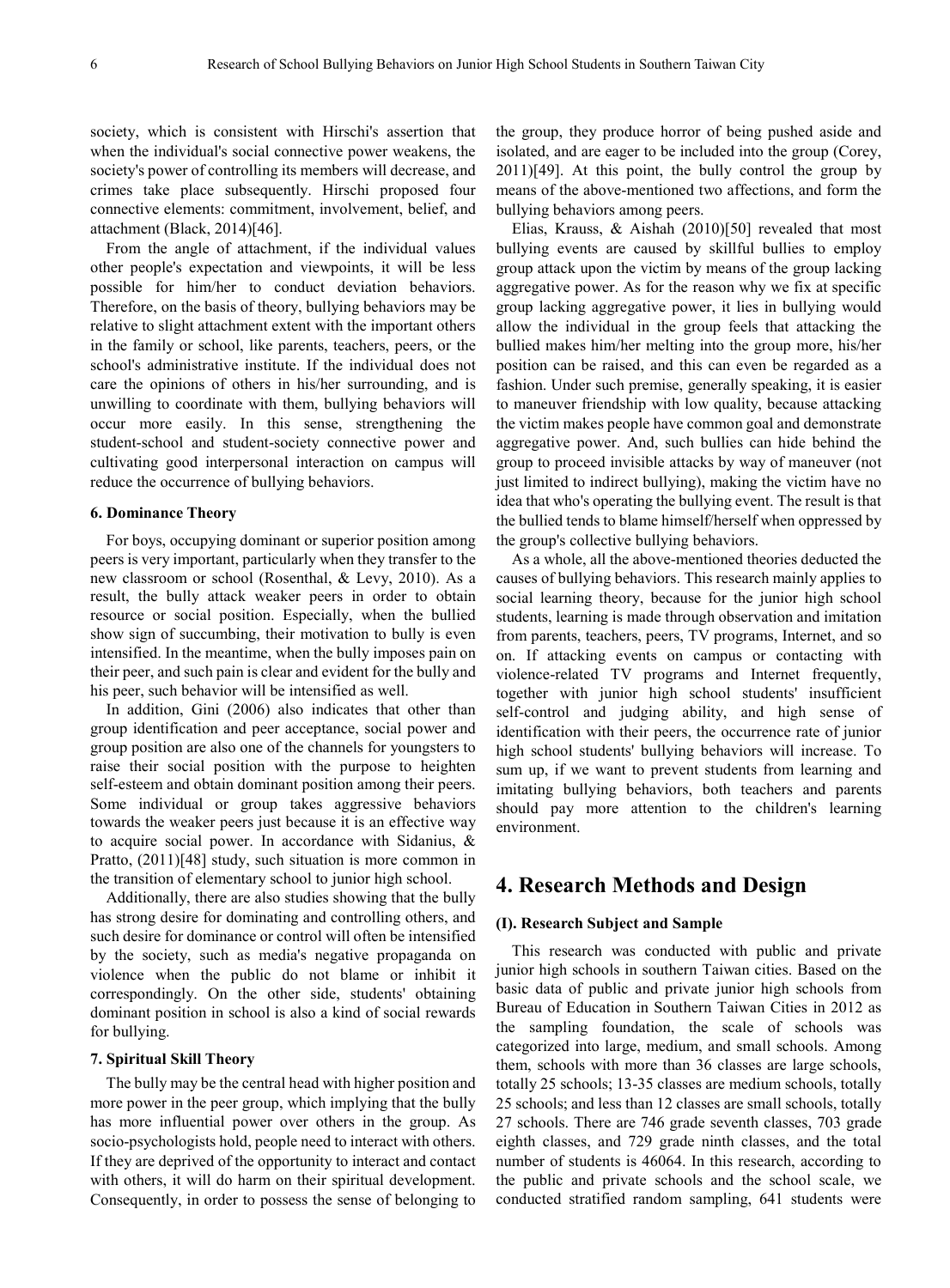society, which is consistent with Hirschi's assertion that when the individual's social connective power weakens, the society's power of controlling its members will decrease, and crimes take place subsequently. Hirschi proposed four connective elements: commitment, involvement, belief, and attachment (Black, 2014)[46].

From the angle of attachment, if the individual values other people's expectation and viewpoints, it will be less possible for him/her to conduct deviation behaviors. Therefore, on the basis of theory, bullying behaviors may be relative to slight attachment extent with the important others in the family or school, like parents, teachers, peers, or the school's administrative institute. If the individual does not care the opinions of others in his/her surrounding, and is unwilling to coordinate with them, bullying behaviors will occur more easily. In this sense, strengthening the student-school and student-society connective power and cultivating good interpersonal interaction on campus will reduce the occurrence of bullying behaviors.

#### **6. Dominance Theory**

For boys, occupying dominant or superior position among peers is very important, particularly when they transfer to the new classroom or school (Rosenthal, & Levy, 2010). As a result, the bully attack weaker peers in order to obtain resource or social position. Especially, when the bullied show sign of succumbing, their motivation to bully is even intensified. In the meantime, when the bully imposes pain on their peer, and such pain is clear and evident for the bully and his peer, such behavior will be intensified as well.

In addition, Gini (2006) also indicates that other than group identification and peer acceptance, social power and group position are also one of the channels for youngsters to raise their social position with the purpose to heighten self-esteem and obtain dominant position among their peers. Some individual or group takes aggressive behaviors towards the weaker peers just because it is an effective way to acquire social power. In accordance with Sidanius, & Pratto, (2011)[48] study, such situation is more common in the transition of elementary school to junior high school.

Additionally, there are also studies showing that the bully has strong desire for dominating and controlling others, and such desire for dominance or control will often be intensified by the society, such as media's negative propaganda on violence when the public do not blame or inhibit it correspondingly. On the other side, students' obtaining dominant position in school is also a kind of social rewards for bullying.

#### **7. Spiritual Skill Theory**

The bully may be the central head with higher position and more power in the peer group, which implying that the bully has more influential power over others in the group. As socio-psychologists hold, people need to interact with others. If they are deprived of the opportunity to interact and contact with others, it will do harm on their spiritual development. Consequently, in order to possess the sense of belonging to

the group, they produce horror of being pushed aside and isolated, and are eager to be included into the group (Corey, 2011)[49]. At this point, the bully control the group by means of the above-mentioned two affections, and form the bullying behaviors among peers.

Elias, Krauss, & Aishah (2010)[50] revealed that most bullying events are caused by skillful bullies to employ group attack upon the victim by means of the group lacking aggregative power. As for the reason why we fix at specific group lacking aggregative power, it lies in bullying would allow the individual in the group feels that attacking the bullied makes him/her melting into the group more, his/her position can be raised, and this can even be regarded as a fashion. Under such premise, generally speaking, it is easier to maneuver friendship with low quality, because attacking the victim makes people have common goal and demonstrate aggregative power. And, such bullies can hide behind the group to proceed invisible attacks by way of maneuver (not just limited to indirect bullying), making the victim have no idea that who's operating the bullying event. The result is that the bullied tends to blame himself/herself when oppressed by the group's collective bullying behaviors.

As a whole, all the above-mentioned theories deducted the causes of bullying behaviors. This research mainly applies to social learning theory, because for the junior high school students, learning is made through observation and imitation from parents, teachers, peers, TV programs, Internet, and so on. If attacking events on campus or contacting with violence-related TV programs and Internet frequently, together with junior high school students' insufficient self-control and judging ability, and high sense of identification with their peers, the occurrence rate of junior high school students' bullying behaviors will increase. To sum up, if we want to prevent students from learning and imitating bullying behaviors, both teachers and parents should pay more attention to the children's learning environment.

# **4. Research Methods and Design**

## **(I). Research Subject and Sample**

This research was conducted with public and private junior high schools in southern Taiwan cities. Based on the basic data of public and private junior high schools from Bureau of Education in Southern Taiwan Cities in 2012 as the sampling foundation, the scale of schools was categorized into large, medium, and small schools. Among them, schools with more than 36 classes are large schools, totally 25 schools; 13-35 classes are medium schools, totally 25 schools; and less than 12 classes are small schools, totally 27 schools. There are 746 grade seventh classes, 703 grade eighth classes, and 729 grade ninth classes, and the total number of students is 46064. In this research, according to the public and private schools and the school scale, we conducted stratified random sampling, 641 students were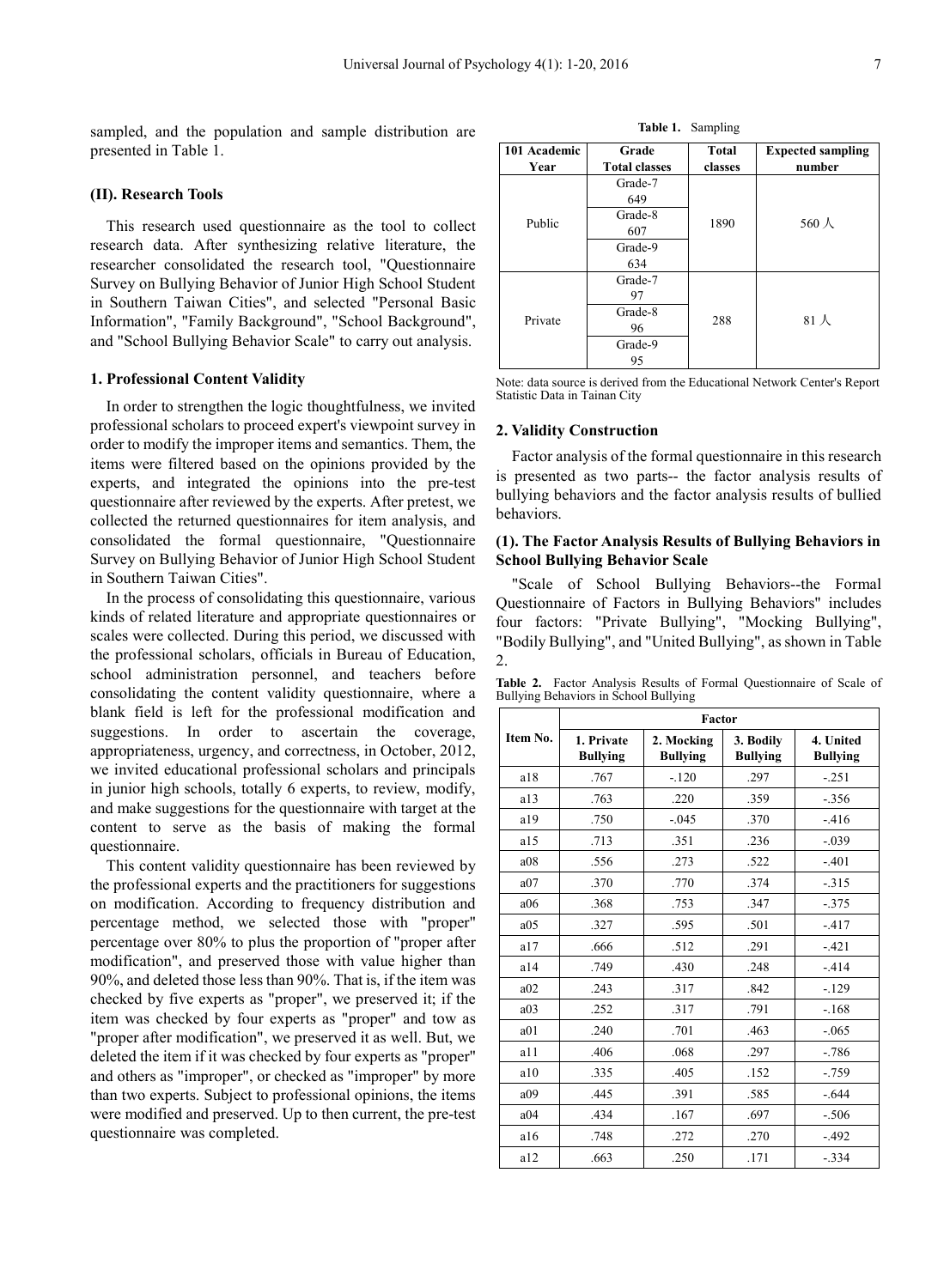sampled, and the population and sample distribution are presented in Table 1.

#### **(II). Research Tools**

This research used questionnaire as the tool to collect research data. After synthesizing relative literature, the researcher consolidated the research tool, "Questionnaire Survey on Bullying Behavior of Junior High School Student in Southern Taiwan Cities", and selected "Personal Basic Information", "Family Background", "School Background", and "School Bullying Behavior Scale" to carry out analysis.

#### **1. Professional Content Validity**

In order to strengthen the logic thoughtfulness, we invited professional scholars to proceed expert's viewpoint survey in order to modify the improper items and semantics. Them, the items were filtered based on the opinions provided by the experts, and integrated the opinions into the pre-test questionnaire after reviewed by the experts. After pretest, we collected the returned questionnaires for item analysis, and consolidated the formal questionnaire, "Questionnaire Survey on Bullying Behavior of Junior High School Student in Southern Taiwan Cities".

In the process of consolidating this questionnaire, various kinds of related literature and appropriate questionnaires or scales were collected. During this period, we discussed with the professional scholars, officials in Bureau of Education, school administration personnel, and teachers before consolidating the content validity questionnaire, where a blank field is left for the professional modification and suggestions. In order to ascertain the coverage, appropriateness, urgency, and correctness, in October, 2012, we invited educational professional scholars and principals in junior high schools, totally 6 experts, to review, modify, and make suggestions for the questionnaire with target at the content to serve as the basis of making the formal questionnaire.

This content validity questionnaire has been reviewed by the professional experts and the practitioners for suggestions on modification. According to frequency distribution and percentage method, we selected those with "proper" percentage over 80% to plus the proportion of "proper after modification", and preserved those with value higher than 90%, and deleted those less than 90%. That is, if the item was checked by five experts as "proper", we preserved it; if the item was checked by four experts as "proper" and tow as "proper after modification", we preserved it as well. But, we deleted the item if it was checked by four experts as "proper" and others as "improper", or checked as "improper" by more than two experts. Subject to professional opinions, the items were modified and preserved. Up to then current, the pre-test questionnaire was completed.

| 101 Academic<br>Year | Grade<br><b>Total classes</b> | <b>Total</b><br>classes | <b>Expected sampling</b><br>number |  |  |
|----------------------|-------------------------------|-------------------------|------------------------------------|--|--|
|                      | Grade-7                       |                         |                                    |  |  |
|                      | 649                           |                         |                                    |  |  |
| Public               | Grade-8                       | 1890                    | $560 \text{ \AA}$                  |  |  |
|                      | 607                           |                         |                                    |  |  |
|                      | Grade-9                       |                         |                                    |  |  |
|                      | 634                           |                         |                                    |  |  |
|                      | Grade-7                       |                         |                                    |  |  |
|                      | 97                            |                         |                                    |  |  |
| Private              | Grade-8                       | 288                     | $81$ 人                             |  |  |
|                      | 96                            |                         |                                    |  |  |
|                      | Grade-9                       |                         |                                    |  |  |
|                      | 95                            |                         |                                    |  |  |

Note: data source is derived from the Educational Network Center's Report Statistic Data in Tainan City

#### **2. Validity Construction**

Factor analysis of the formal questionnaire in this research is presented as two parts-- the factor analysis results of bullying behaviors and the factor analysis results of bullied behaviors.

# **(1). The Factor Analysis Results of Bullying Behaviors in School Bullying Behavior Scale**

"Scale of School Bullying Behaviors--the Formal Questionnaire of Factors in Bullying Behaviors" includes four factors: "Private Bullying", "Mocking Bullying", "Bodily Bullying", and "United Bullying", as shown in Table  $\mathcal{L}$ 

**Table 2.** Factor Analysis Results of Formal Questionnaire of Scale of Bullying Behaviors in School Bullying

|                 |                               |                               | Factor                       |                              |  |  |  |  |  |  |  |  |  |
|-----------------|-------------------------------|-------------------------------|------------------------------|------------------------------|--|--|--|--|--|--|--|--|--|
| Item No.        | 1. Private<br><b>Bullying</b> | 2. Mocking<br><b>Bullying</b> | 3. Bodily<br><b>Bullying</b> | 4. United<br><b>Bullying</b> |  |  |  |  |  |  |  |  |  |
| a18             | .767                          | $-.120$                       | .297                         | $-.251$                      |  |  |  |  |  |  |  |  |  |
| a13             | .763                          | .220                          | .359                         | $-0.356$                     |  |  |  |  |  |  |  |  |  |
| a19             | .750                          | $-.045$                       | .370                         | $-416$                       |  |  |  |  |  |  |  |  |  |
| a15             | .713                          | .351                          | .236                         | $-.039$                      |  |  |  |  |  |  |  |  |  |
| a08             | .556                          | .273                          | .522                         | $-.401$                      |  |  |  |  |  |  |  |  |  |
| a07             | .370                          | .770                          | .374                         | $-315$                       |  |  |  |  |  |  |  |  |  |
| a06             | .368                          | .753                          | .347                         | $-0.375$                     |  |  |  |  |  |  |  |  |  |
| a05             | .327                          | .595                          | .501                         | $-417$                       |  |  |  |  |  |  |  |  |  |
| a17             | .666                          | .512                          | .291                         | $-421$                       |  |  |  |  |  |  |  |  |  |
| a14             | .749                          | .430                          | .248                         | $-414$                       |  |  |  |  |  |  |  |  |  |
| a02             | .243                          | .317                          | .842                         | $-129$                       |  |  |  |  |  |  |  |  |  |
| a <sub>03</sub> | .252                          | .317                          | .791                         | $-.168$                      |  |  |  |  |  |  |  |  |  |
| a01             | .240                          | .701                          | .463                         | $-0.065$                     |  |  |  |  |  |  |  |  |  |
| a11             | .406                          | .068                          | .297                         | $-.786$                      |  |  |  |  |  |  |  |  |  |
| a10             | .335                          | .405                          | .152                         | $-0.759$                     |  |  |  |  |  |  |  |  |  |
| a09             | .445                          | .391                          | .585                         | $-644$                       |  |  |  |  |  |  |  |  |  |
| a04             | .434                          | .167                          | .697                         | $-.506$                      |  |  |  |  |  |  |  |  |  |
| a16             | .748                          | .272                          | .270                         | $-492$                       |  |  |  |  |  |  |  |  |  |
| a12             | .663                          | .250                          | .171                         | $-.334$                      |  |  |  |  |  |  |  |  |  |

**Table 1.** Sampling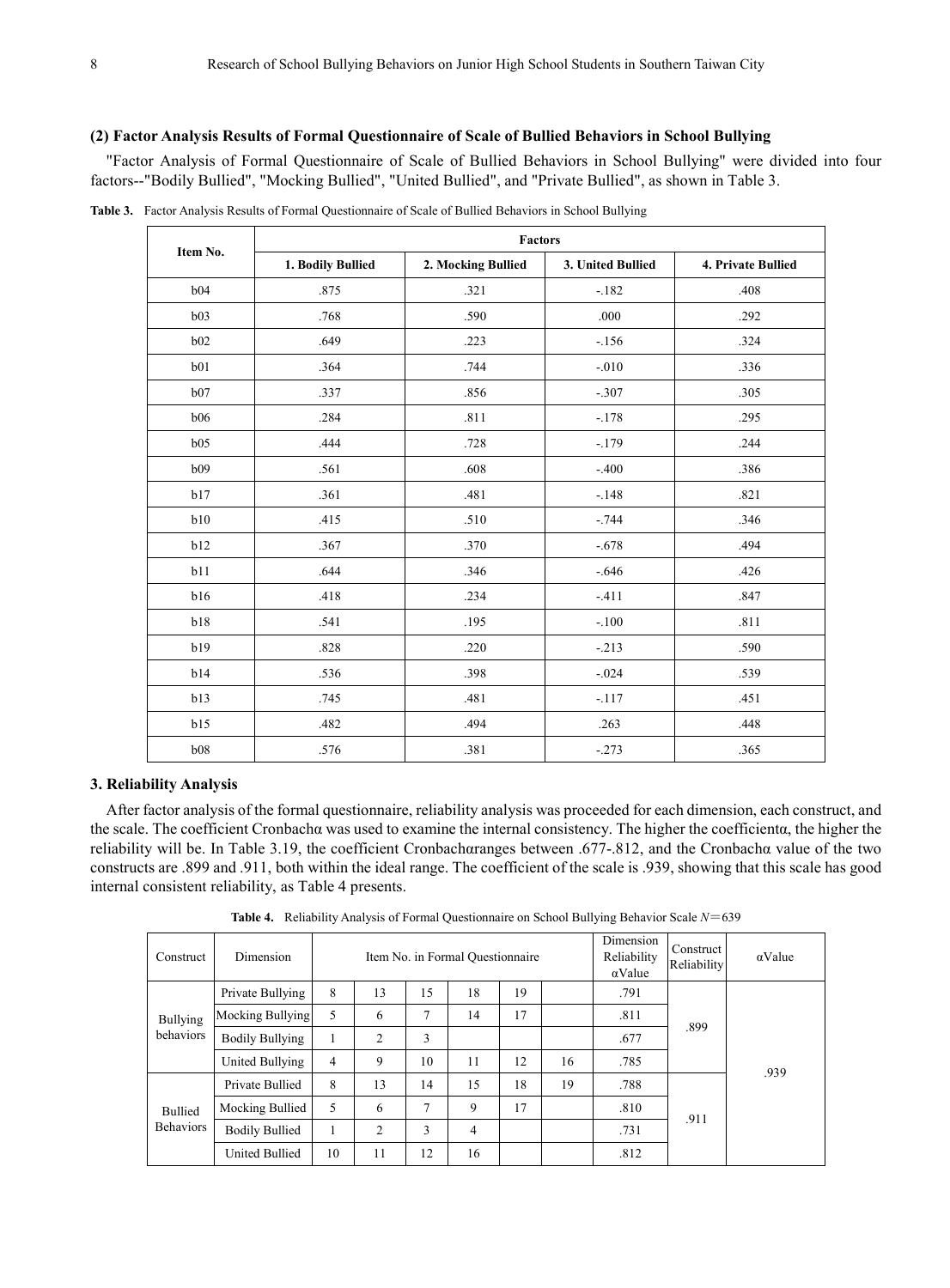#### **(2) Factor Analysis Results of Formal Questionnaire of Scale of Bullied Behaviors in School Bullying**

"Factor Analysis of Formal Questionnaire of Scale of Bullied Behaviors in School Bullying" were divided into four factors--"Bodily Bullied", "Mocking Bullied", "United Bullied", and "Private Bullied", as shown in Table 3.

|          |                   | Factors            |                   |                    |  |  |  |  |  |  |  |  |
|----------|-------------------|--------------------|-------------------|--------------------|--|--|--|--|--|--|--|--|
| Item No. | 1. Bodily Bullied | 2. Mocking Bullied | 3. United Bullied | 4. Private Bullied |  |  |  |  |  |  |  |  |
| b04      | .875              | .321               | $-182$            | .408               |  |  |  |  |  |  |  |  |
| b03      | .768              | .590               | .000              | .292               |  |  |  |  |  |  |  |  |
| b02      | .649              | .223               | $-156$            | .324               |  |  |  |  |  |  |  |  |
| b01      | .364              | .744               | $-.010$           | .336               |  |  |  |  |  |  |  |  |
| b07      | .337              | .856               | $-.307$           | .305               |  |  |  |  |  |  |  |  |
| b06      | .284              | .811               | $-.178$           | .295               |  |  |  |  |  |  |  |  |
| b05      | .444              | .728               | $-179$            | .244               |  |  |  |  |  |  |  |  |
| b09      | .561              | .608               | $-.400$           | .386               |  |  |  |  |  |  |  |  |
| b17      | .361              | .481               | $-.148$           | .821               |  |  |  |  |  |  |  |  |
| b10      | .415              | .510               | $-.744$           | .346               |  |  |  |  |  |  |  |  |
| b12      | .367              | .370               | $-.678$           | .494               |  |  |  |  |  |  |  |  |
| b11      | .644              | .346               | $-.646$           | .426               |  |  |  |  |  |  |  |  |
| b16      | .418              | .234               | $-.411$           | .847               |  |  |  |  |  |  |  |  |
| b18      | .541              | .195               | $-.100$           | .811               |  |  |  |  |  |  |  |  |
| b19      | .828              | .220               | $-.213$           | .590               |  |  |  |  |  |  |  |  |
| b14      | .536              | .398               | $-.024$           | .539               |  |  |  |  |  |  |  |  |
| b13      | .745              | .481               | $-.117$           | .451               |  |  |  |  |  |  |  |  |
| b15      | .482              | .494               | .263              | .448               |  |  |  |  |  |  |  |  |
| b08      | .576              | .381               | $-273$            | .365               |  |  |  |  |  |  |  |  |

**Table 3.** Factor Analysis Results of Formal Questionnaire of Scale of Bullied Behaviors in School Bullying

#### **3. Reliability Analysis**

After factor analysis of the formal questionnaire, reliability analysis was proceeded for each dimension, each construct, and the scale. The coefficient Cronbachα was used to examine the internal consistency. The higher the coefficientα, the higher the reliability will be. In Table 3.19, the coefficient Cronbachαranges between .677-.812, and the Cronbachα value of the two constructs are .899 and .911, both within the ideal range. The coefficient of the scale is .939, showing that this scale has good internal consistent reliability, as Table 4 presents.

| Construct                    | Dimension              |                |                |    | Item No. in Formal Questionnaire |    |    | Dimension<br>Reliability<br>$\alpha$ Value | Construct<br>Reliability | $\alpha$ Value |
|------------------------------|------------------------|----------------|----------------|----|----------------------------------|----|----|--------------------------------------------|--------------------------|----------------|
| <b>Bullying</b><br>behaviors | Private Bullying       | 8              | 13             | 15 | 18                               | 19 |    | .791                                       |                          | .939           |
|                              | Mocking Bullying       | 5              | 6              | 7  | 14                               | 17 |    | .811                                       | .899                     |                |
|                              | <b>Bodily Bullying</b> | 1              | 2              | 3  |                                  |    |    | .677                                       |                          |                |
|                              | United Bullying        | $\overline{4}$ | 9              | 10 | 11                               | 12 | 16 | .785                                       |                          |                |
|                              | Private Bullied        | 8              | 13             | 14 | 15                               | 18 | 19 | .788                                       |                          |                |
| <b>Bullied</b>               | Mocking Bullied        | 5              | 6              | 7  | 9                                | 17 |    | .810                                       | .911                     |                |
| <b>Behaviors</b>             | <b>Bodily Bullied</b>  | 1              | $\overline{c}$ | 3  | 4                                |    |    | .731                                       |                          |                |
|                              | <b>United Bullied</b>  | 10             | 11             | 12 | 16                               |    |    | .812                                       |                          |                |

**Table 4.** Reliability Analysis of Formal Questionnaire on School Bullying Behavior Scale *N*=639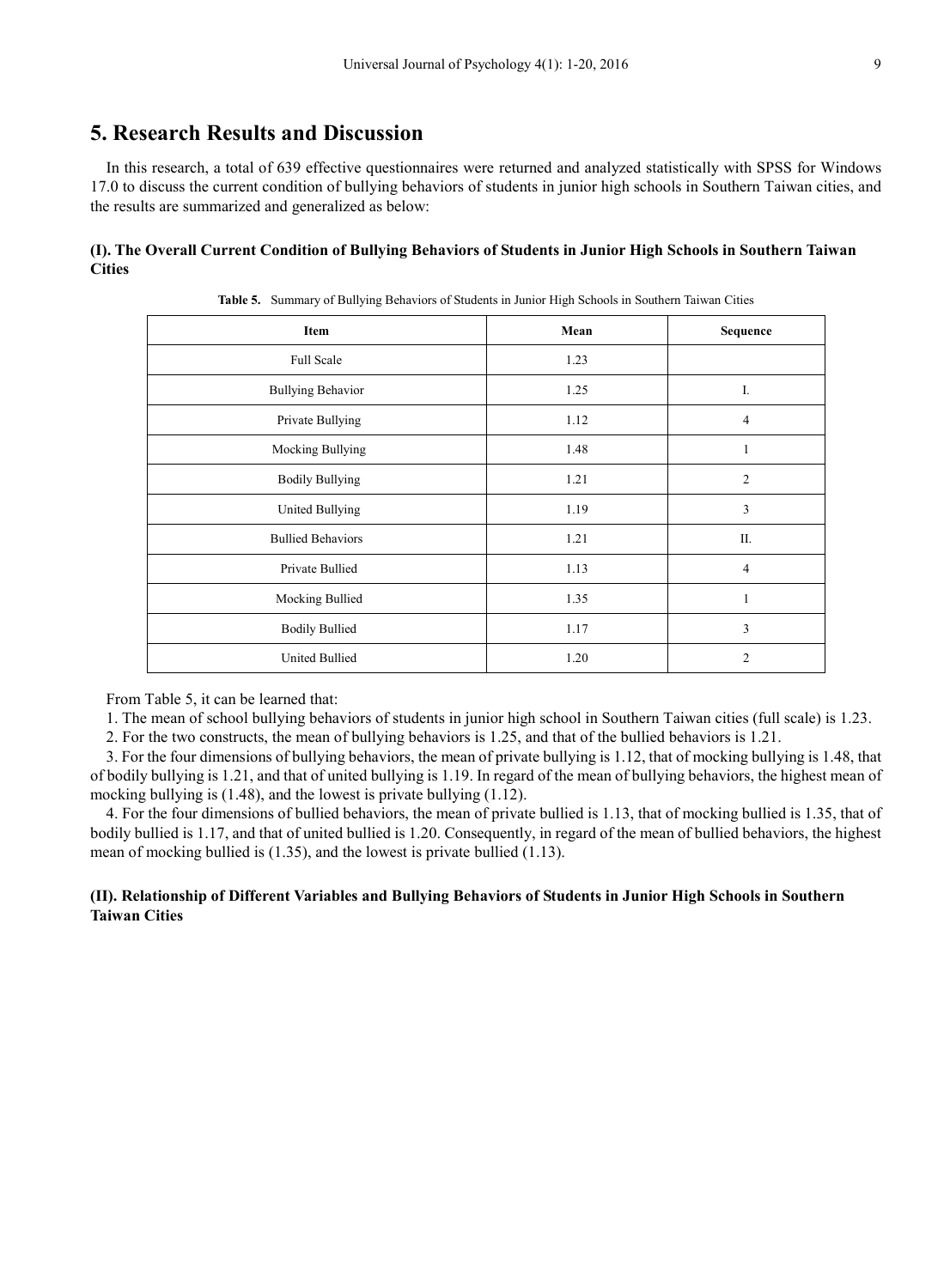# **5. Research Results and Discussion**

In this research, a total of 639 effective questionnaires were returned and analyzed statistically with SPSS for Windows 17.0 to discuss the current condition of bullying behaviors of students in junior high schools in Southern Taiwan cities, and the results are summarized and generalized as below:

# **(I). The Overall Current Condition of Bullying Behaviors of Students in Junior High Schools in Southern Taiwan Cities**

| Item                     | Mean | Sequence       |
|--------------------------|------|----------------|
| Full Scale               | 1.23 |                |
| <b>Bullying Behavior</b> | 1.25 | I.             |
| Private Bullying         | 1.12 | $\overline{4}$ |
| Mocking Bullying         | 1.48 | 1              |
| <b>Bodily Bullying</b>   | 1.21 | $\overline{2}$ |
| United Bullying          | 1.19 | 3              |
| <b>Bullied Behaviors</b> | 1.21 | Π.             |
| Private Bullied          | 1.13 | $\overline{4}$ |
| Mocking Bullied          | 1.35 | 1              |
| <b>Bodily Bullied</b>    | 1.17 | 3              |
| <b>United Bullied</b>    | 1.20 | $\overline{2}$ |

**Table 5.** Summary of Bullying Behaviors of Students in Junior High Schools in Southern Taiwan Cities

From Table 5, it can be learned that:

1. The mean of school bullying behaviors of students in junior high school in Southern Taiwan cities (full scale) is 1.23.

2. For the two constructs, the mean of bullying behaviors is 1.25, and that of the bullied behaviors is 1.21.

3. For the four dimensions of bullying behaviors, the mean of private bullying is 1.12, that of mocking bullying is 1.48, that of bodily bullying is 1.21, and that of united bullying is 1.19. In regard of the mean of bullying behaviors, the highest mean of mocking bullying is (1.48), and the lowest is private bullying (1.12).

4. For the four dimensions of bullied behaviors, the mean of private bullied is 1.13, that of mocking bullied is 1.35, that of bodily bullied is 1.17, and that of united bullied is 1.20. Consequently, in regard of the mean of bullied behaviors, the highest mean of mocking bullied is (1.35), and the lowest is private bullied (1.13).

# **(II). Relationship of Different Variables and Bullying Behaviors of Students in Junior High Schools in Southern Taiwan Cities**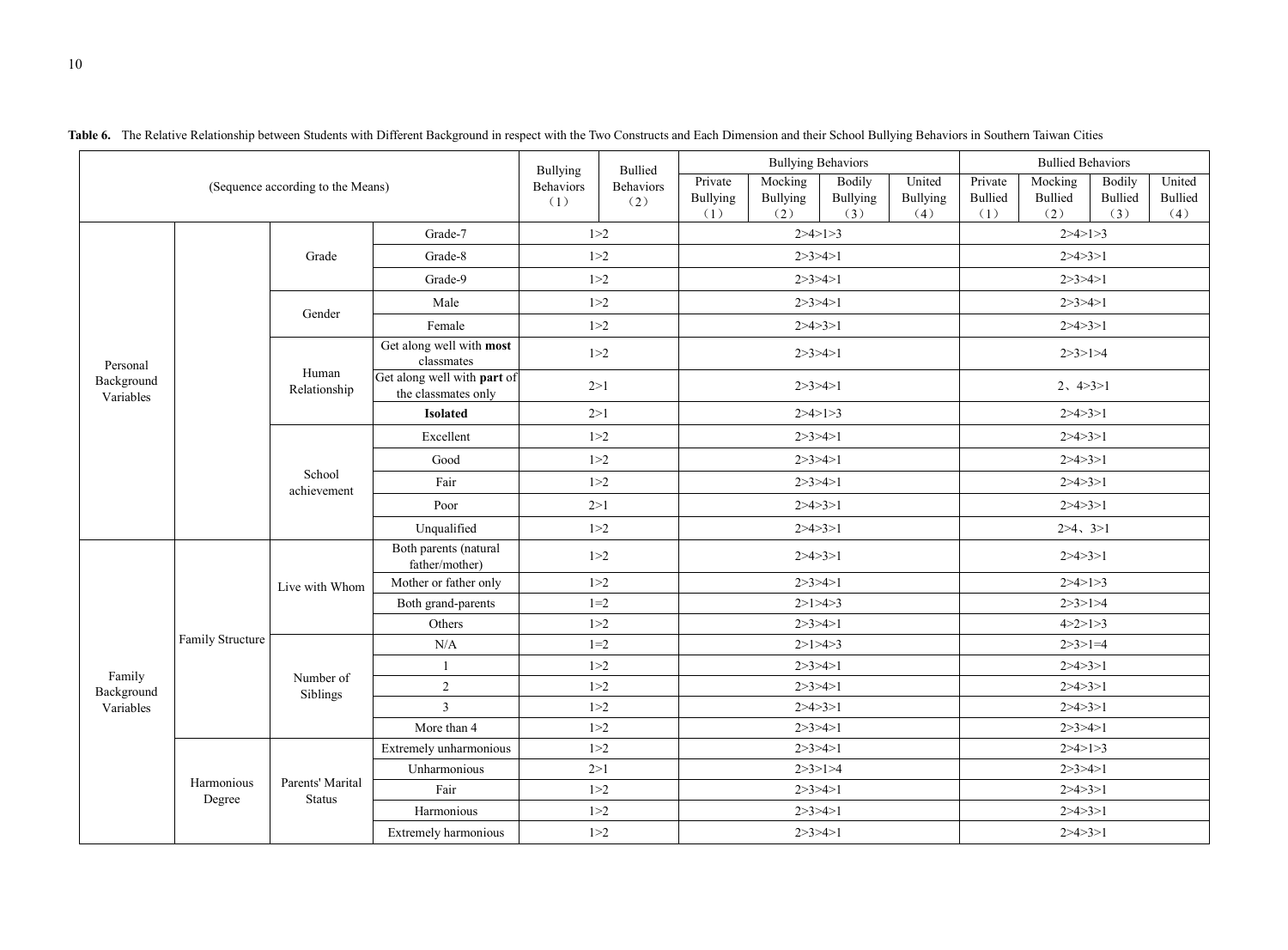|                         |                  |                                   |                                                    | Bullying                | Bullied          |                                   | <b>Bullying Behaviors</b>  |                                         |                           |                           | <b>Bullied Behaviors</b>         |                                 |                                 |
|-------------------------|------------------|-----------------------------------|----------------------------------------------------|-------------------------|------------------|-----------------------------------|----------------------------|-----------------------------------------|---------------------------|---------------------------|----------------------------------|---------------------------------|---------------------------------|
|                         |                  | (Sequence according to the Means) |                                                    | <b>Behaviors</b><br>(1) | Behaviors<br>(2) | Private<br><b>Bullying</b><br>(1) | Mocking<br>Bullying<br>(2) | <b>Bodily</b><br><b>Bullying</b><br>(3) | United<br>Bullying<br>(4) | Private<br>Bullied<br>(1) | Mocking<br><b>Bullied</b><br>(2) | Bodily<br><b>Bullied</b><br>(3) | United<br><b>Bullied</b><br>(4) |
|                         |                  |                                   | Grade-7                                            | 1 > 2                   |                  | 2 > 4 > 1 > 3                     |                            |                                         | 2 > 4 > 1 > 3             |                           |                                  |                                 |                                 |
|                         |                  | Grade                             | Grade-8                                            | 1 > 2                   |                  | 2 > 3 > 4 > 1                     |                            |                                         |                           | 2 > 4 > 3 > 1             |                                  |                                 |                                 |
|                         |                  |                                   | Grade-9                                            | 1 > 2                   |                  |                                   | 2 > 3 > 4 > 1              |                                         |                           |                           | 2 > 3 > 4 > 1                    |                                 |                                 |
|                         |                  |                                   | Male                                               | 1 > 2                   |                  |                                   | 2 > 3 > 4 > 1              |                                         |                           |                           | 2 > 3 > 4 > 1                    |                                 |                                 |
|                         |                  | Gender                            | Female                                             | 1 > 2                   |                  |                                   | 2 > 4 > 3 > 1              |                                         |                           |                           | 2 > 4 > 3 > 1                    |                                 |                                 |
| Personal                |                  |                                   | Get along well with most<br>classmates             | 1 > 2                   |                  |                                   | 2 > 3 > 4 > 1              |                                         |                           |                           | 2 > 3 > 1 > 4                    |                                 |                                 |
| Background<br>Variables |                  | Human<br>Relationship             | Get along well with part of<br>the classmates only | 2>1                     |                  |                                   | 2 > 3 > 4 > 1              |                                         |                           |                           | 2, 4 > 3 > 1                     |                                 |                                 |
|                         |                  |                                   | <b>Isolated</b>                                    | 2>1                     |                  |                                   | 2 > 4 > 1 > 3              |                                         |                           |                           | 2 > 4 > 3 > 1                    |                                 |                                 |
|                         |                  |                                   | Excellent                                          | 1 > 2                   |                  |                                   | 2 > 3 > 4 > 1              |                                         |                           |                           | 2 > 4 > 3 > 1                    |                                 |                                 |
|                         |                  | School<br>achievement             | Good                                               | 1 > 2                   |                  |                                   | 2 > 3 > 4 > 1              |                                         |                           | 2 > 4 > 3 > 1             |                                  |                                 |                                 |
|                         |                  |                                   | Fair                                               | 1 > 2                   |                  |                                   | 2 > 3 > 4 > 1              |                                         |                           |                           | 2 > 4 > 3 > 1                    |                                 |                                 |
|                         |                  |                                   | Poor                                               | 2>1                     |                  |                                   | 2 > 4 > 3 > 1              |                                         |                           |                           | 2 > 4 > 3 > 1                    |                                 |                                 |
|                         |                  |                                   | Unqualified                                        | 1 > 2                   |                  |                                   | 2 > 4 > 3 > 1              |                                         |                           |                           | 2>4, 3>1                         |                                 |                                 |
|                         |                  | Live with Whom                    | Both parents (natural<br>father/mother)            | 1 > 2                   |                  | 2 > 4 > 3 > 1                     |                            |                                         |                           | 2 > 4 > 3 > 1             |                                  |                                 |                                 |
|                         |                  |                                   | Mother or father only                              | 1 > 2                   |                  | 2 > 3 > 4 > 1                     |                            |                                         | 2 > 4 > 1 > 3             |                           |                                  |                                 |                                 |
|                         |                  |                                   | Both grand-parents                                 | $1 = 2$                 |                  | 2>1>4>3                           |                            |                                         | 2 > 3 > 1 > 4             |                           |                                  |                                 |                                 |
|                         |                  |                                   | Others                                             | 1 > 2                   |                  |                                   | 2 > 3 > 4 > 1              |                                         |                           |                           | 4 > 2 > 1 > 3                    |                                 |                                 |
|                         | Family Structure |                                   | N/A                                                | $1 = 2$                 |                  |                                   | 2>1>4>3                    |                                         |                           |                           | $2 > 3 > 1 = 4$                  |                                 |                                 |
| Family                  |                  | Number of                         | $\mathbf{1}$                                       | 1 > 2                   |                  |                                   | 2 > 3 > 4 > 1              |                                         |                           |                           | 2 > 4 > 3 > 1                    |                                 |                                 |
| Background              |                  | Siblings                          | $\overline{2}$                                     | 1 > 2                   |                  |                                   | 2 > 3 > 4 > 1              |                                         |                           |                           | 2 > 4 > 3 > 1                    |                                 |                                 |
| Variables               |                  |                                   | $\overline{3}$                                     | 1 > 2                   |                  |                                   | 2 > 4 > 3 > 1              |                                         |                           |                           | 2 > 4 > 3 > 1                    |                                 |                                 |
|                         |                  |                                   | More than 4                                        | 1 > 2                   |                  |                                   | 2 > 3 > 4 > 1              |                                         |                           |                           | 2 > 3 > 4 > 1                    |                                 |                                 |
|                         |                  |                                   | Extremely unharmonious                             | 1 > 2                   |                  |                                   | 2 > 3 > 4 > 1              |                                         |                           | 2 > 4 > 1 > 3             |                                  |                                 |                                 |
|                         | Harmonious       | Parents' Marital                  | Unharmonious                                       | 2>1                     |                  |                                   | 2 > 3 > 1 > 4              |                                         |                           | 2 > 3 > 4 > 1             |                                  |                                 |                                 |
|                         | Degree           | <b>Status</b>                     | Fair                                               | 1 > 2                   |                  |                                   | 2 > 3 > 4 > 1              |                                         |                           | 2 > 4 > 3 > 1             |                                  |                                 |                                 |
|                         |                  |                                   | Harmonious                                         | 1 > 2                   |                  |                                   | 2 > 3 > 4 > 1              |                                         |                           | 2 > 4 > 3 > 1             |                                  |                                 |                                 |
|                         |                  |                                   | Extremely harmonious                               | 1 > 2                   |                  |                                   | 2 > 3 > 4 > 1              |                                         |                           |                           | 2 > 4 > 3 > 1                    |                                 |                                 |

Table 6. The Relative Relationship between Students with Different Background in respect with the Two Constructs and Each Dimension and their School Bullying Behaviors in Southern Taiwan Cities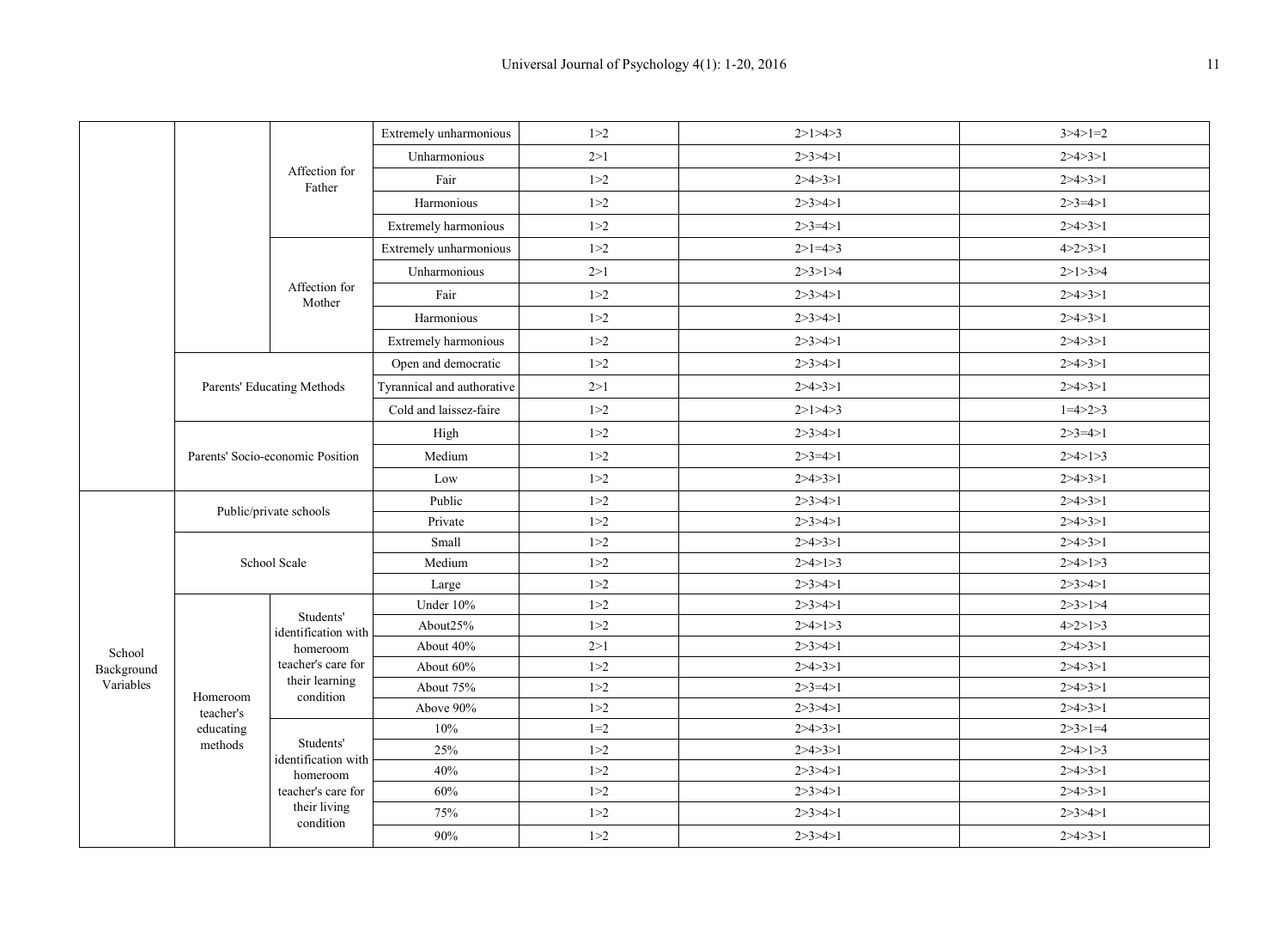|            |                                  |                                  | Extremely unharmonious     | 1 > 2   | 2>1>4>3         | $3 > 4 > 1 = 2$ |
|------------|----------------------------------|----------------------------------|----------------------------|---------|-----------------|-----------------|
|            |                                  |                                  | Unharmonious               | 2>1     | 2 > 3 > 4 > 1   | 2 > 4 > 3 > 1   |
|            |                                  | Affection for<br>Father          | Fair                       | 1 > 2   | 2 > 4 > 3 > 1   | 2 > 4 > 3 > 1   |
|            |                                  |                                  | Harmonious                 | 1 > 2   | 2 > 3 > 4 > 1   | $2 > 3 = 4 > 1$ |
|            |                                  |                                  | Extremely harmonious       | 1 > 2   | $2 > 3 = 4 > 1$ | 2 > 4 > 3 > 1   |
|            |                                  |                                  | Extremely unharmonious     | 1 > 2   | $2>1=4>3$       | 4 > 2 > 3 > 1   |
|            |                                  |                                  | Unharmonious               | 2>1     | 2 > 3 > 1 > 4   | 2 > 1 > 3 > 4   |
|            |                                  | Affection for<br>Mother          | Fair                       | 1 > 2   | 2 > 3 > 4 > 1   | 2 > 4 > 3 > 1   |
|            |                                  |                                  | Harmonious                 | 1 > 2   | 2 > 3 > 4 > 1   | 2 > 4 > 3 > 1   |
|            |                                  |                                  | Extremely harmonious       | 1 > 2   | 2 > 3 > 4 > 1   | 2 > 4 > 3 > 1   |
|            |                                  |                                  | Open and democratic        | 1 > 2   | 2 > 3 > 4 > 1   | 2 > 4 > 3 > 1   |
|            |                                  | Parents' Educating Methods       | Tyrannical and authorative | 2>1     | 2 > 4 > 3 > 1   | 2 > 4 > 3 > 1   |
|            |                                  |                                  | Cold and laissez-faire     | 1 > 2   | 2>1>4>3         | $1=4>2>3$       |
|            |                                  |                                  | High                       | 1 > 2   | 2 > 3 > 4 > 1   | $2 > 3 = 4 > 1$ |
|            | Parents' Socio-economic Position |                                  | Medium                     | 1 > 2   | $2 > 3 = 4 > 1$ | 2 > 4 > 1 > 3   |
|            |                                  |                                  | Low                        | 1 > 2   | 2 > 4 > 3 > 1   | 2 > 4 > 3 > 1   |
|            |                                  |                                  | Public                     | 1 > 2   | 2 > 3 > 4 > 1   | 2 > 4 > 3 > 1   |
|            |                                  | Public/private schools           | Private                    | 1 > 2   | 2 > 3 > 4 > 1   | 2 > 4 > 3 > 1   |
|            |                                  |                                  | Small                      | 1 > 2   | 2 > 4 > 3 > 1   | 2 > 4 > 3 > 1   |
|            |                                  | School Scale                     | Medium                     | 1 > 2   | 2 > 4 > 1 > 3   | 2 > 4 > 1 > 3   |
|            |                                  |                                  | Large                      | 1 > 2   | 2 > 3 > 4 > 1   | 2 > 3 > 4 > 1   |
|            |                                  | Students'                        | Under 10%                  | 1 > 2   | 2 > 3 > 4 > 1   | 2 > 3 > 1 > 4   |
|            |                                  | identification with              | About25%                   | 1 > 2   | 2 > 4 > 1 > 3   | 4 > 2 > 1 > 3   |
| School     |                                  | homeroom                         | About 40%                  | 2>1     | 2 > 3 > 4 > 1   | 2 > 4 > 3 > 1   |
| Background |                                  | teacher's care for               | About 60%                  | 1 > 2   | 2 > 4 > 3 > 1   | 2 > 4 > 3 > 1   |
| Variables  | Homeroom                         | their learning<br>condition      | About 75%                  | 1 > 2   | $2 > 3 = 4 > 1$ | 2 > 4 > 3 > 1   |
|            | teacher's                        |                                  | Above 90%                  | 1 > 2   | 2 > 3 > 4 > 1   | 2 > 4 > 3 > 1   |
|            | educating                        |                                  | 10%                        | $1 = 2$ | 2 > 4 > 3 > 1   | $2 > 3 > 1 = 4$ |
|            | methods                          | Students'<br>identification with | 25%                        | 1 > 2   | 2 > 4 > 3 > 1   | 2 > 4 > 1 > 3   |
|            |                                  | homeroom                         | 40%                        | 1 > 2   | 2 > 3 > 4 > 1   | 2 > 4 > 3 > 1   |
|            |                                  | teacher's care for               | 60%                        | 1 > 2   | 2 > 3 > 4 > 1   | 2 > 4 > 3 > 1   |
|            |                                  | their living                     | 75%                        | 1 > 2   | 2 > 3 > 4 > 1   | 2 > 3 > 4 > 1   |
|            |                                  | condition                        | 90%                        | 1 > 2   | 2 > 3 > 4 > 1   | 2 > 4 > 3 > 1   |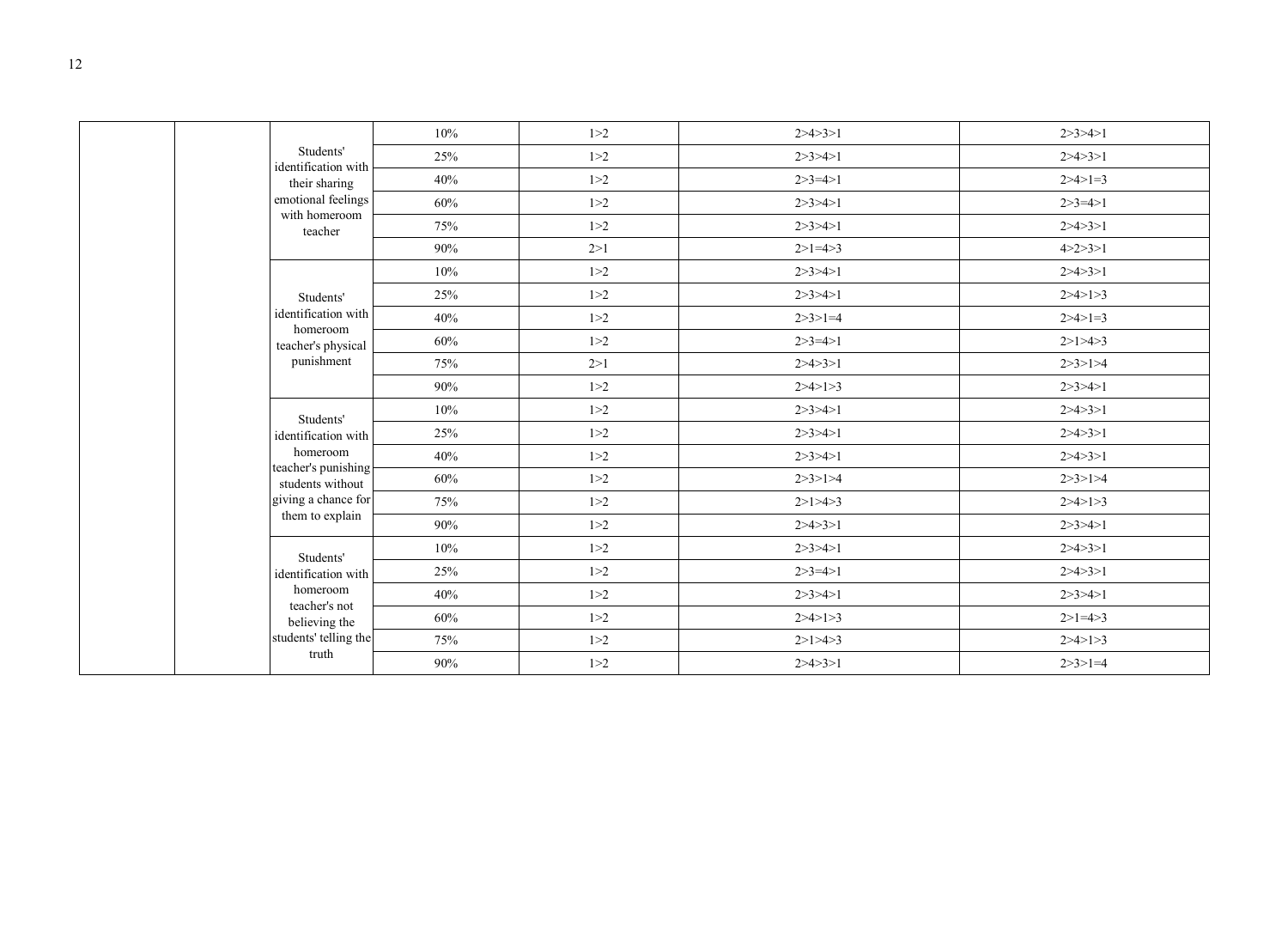|                                         | 10% | 1 > 2 | 2 > 4 > 3 > 1   | 2 > 3 > 4 > 1   |
|-----------------------------------------|-----|-------|-----------------|-----------------|
| Students'<br>identification with        | 25% | 1 > 2 | 2 > 3 > 4 > 1   | 2 > 4 > 3 > 1   |
| their sharing                           | 40% | 1 > 2 | $2 > 3 = 4 > 1$ | $2 > 4 > 1 = 3$ |
| emotional feelings                      | 60% | 1 > 2 | 2 > 3 > 4 > 1   | $2 > 3 = 4 > 1$ |
| with homeroom<br>teacher                | 75% | 1 > 2 | 2 > 3 > 4 > 1   | 2 > 4 > 3 > 1   |
|                                         | 90% | 2>1   | $2>1=4>3$       | 4 > 2 > 3 > 1   |
|                                         | 10% | 1 > 2 | 2 > 3 > 4 > 1   | 2 > 4 > 3 > 1   |
| Students'                               | 25% | 1 > 2 | 2 > 3 > 4 > 1   | 2 > 4 > 1 > 3   |
| identification with                     | 40% | 1 > 2 | $2 > 3 > 1 = 4$ | $2 > 4 > 1 = 3$ |
| homeroom<br>teacher's physical          | 60% | 1 > 2 | $2 > 3 = 4 > 1$ | 2>1>4>3         |
| punishment                              | 75% | 2>1   | 2 > 4 > 3 > 1   | 2 > 3 > 1 > 4   |
|                                         | 90% | 1 > 2 | 2 > 4 > 1 > 3   | 2 > 3 > 4 > 1   |
| Students'                               | 10% | 1 > 2 | 2 > 3 > 4 > 1   | 2 > 4 > 3 > 1   |
| identification with                     | 25% | 1 > 2 | 2 > 3 > 4 > 1   | 2 > 4 > 3 > 1   |
| homeroom                                | 40% | 1 > 2 | 2 > 3 > 4 > 1   | 2 > 4 > 3 > 1   |
| teacher's punishing<br>students without | 60% | 1 > 2 | 2 > 3 > 1 > 4   | 2 > 3 > 1 > 4   |
| giving a chance for                     | 75% | 1 > 2 | 2>1>4>3         | 2 > 4 > 1 > 3   |
| them to explain                         | 90% | 1 > 2 | 2 > 4 > 3 > 1   | 2 > 3 > 4 > 1   |
| Students'                               | 10% | 1 > 2 | 2 > 3 > 4 > 1   | 2 > 4 > 3 > 1   |
| identification with                     | 25% | 1 > 2 | $2 > 3 = 4 > 1$ | 2 > 4 > 3 > 1   |
| homeroom                                | 40% | 1 > 2 | 2 > 3 > 4 > 1   | 2 > 3 > 4 > 1   |
| teacher's not<br>believing the          | 60% | 1 > 2 | 2 > 4 > 1 > 3   | $2>1=4>3$       |
| students' telling the                   | 75% | 1 > 2 | 2>1>4>3         | 2 > 4 > 1 > 3   |
| truth                                   | 90% | 1 > 2 | 2 > 4 > 3 > 1   | $2 > 3 > 1 = 4$ |
|                                         |     |       |                 |                 |

 $\Gamma$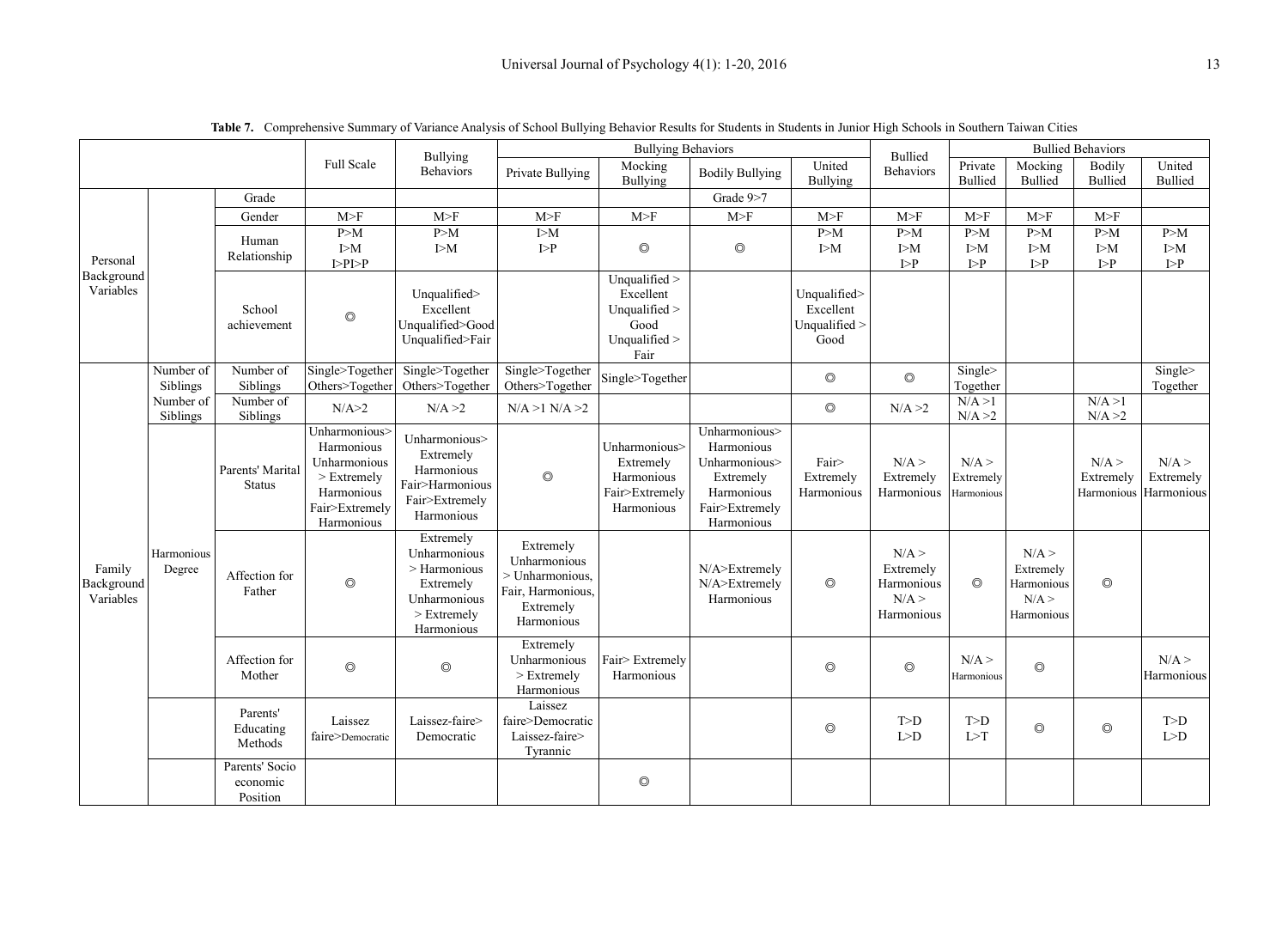|                                   |                       |                                   |                                                                                                            | Bullying                                                                                              |                                                                                                       | <b>Bullying Behaviors</b>                                                    |                                                                                                         |                                                    | Bullied                                               | <b>Bullied Behaviors</b>               |                                                       |                                             |                             |
|-----------------------------------|-----------------------|-----------------------------------|------------------------------------------------------------------------------------------------------------|-------------------------------------------------------------------------------------------------------|-------------------------------------------------------------------------------------------------------|------------------------------------------------------------------------------|---------------------------------------------------------------------------------------------------------|----------------------------------------------------|-------------------------------------------------------|----------------------------------------|-------------------------------------------------------|---------------------------------------------|-----------------------------|
|                                   |                       |                                   | <b>Full Scale</b>                                                                                          | <b>Behaviors</b>                                                                                      | Mocking<br>Private Bullying<br>Bullying                                                               |                                                                              | United<br><b>Bodily Bullying</b><br><b>Bullying</b>                                                     |                                                    | <b>Behaviors</b>                                      | Private<br><b>Bullied</b>              | Mocking<br><b>Bullied</b>                             | <b>Bodily</b><br><b>Bullied</b>             | United<br><b>Bullied</b>    |
|                                   |                       | Grade                             |                                                                                                            |                                                                                                       |                                                                                                       |                                                                              | Grade 9>7                                                                                               |                                                    |                                                       |                                        |                                                       |                                             |                             |
|                                   |                       | Gender                            | M>F                                                                                                        | M>F                                                                                                   | M>F                                                                                                   | M>F                                                                          | M>F                                                                                                     | M>F                                                | M>F                                                   | M>F                                    | M>F                                                   | M>F                                         |                             |
| Personal                          |                       | Human<br>Relationship             | P>M<br>I>M<br>I > P I > P                                                                                  | P>M<br>I>M                                                                                            | I>M<br>I > P                                                                                          | $\circledcirc$                                                               | $\circledcirc$                                                                                          | P>M<br>I>M                                         | P>M<br>I>M<br>$\mathbb{P}P$                           | P>M<br>I>M<br>I > P                    | P>M<br>I>M<br>$\triangleright$ P                      | P>M<br>I>M<br>$\mathsf{I}\!\!>\!\mathsf{P}$ | P>M<br>I>M<br>$\rm I > P$   |
| Background<br>Variables           |                       | School<br>achievement             | $\circledcirc$                                                                                             | Unqualified><br>Excellent<br>Unqualified>Good<br>Unqualified>Fair                                     |                                                                                                       | Unqualified ><br>Excellent<br>Unqualified ><br>Good<br>Unqualified ><br>Fair |                                                                                                         | Unqualified><br>Excellent<br>Unqualified ><br>Good |                                                       |                                        |                                                       |                                             |                             |
| Family<br>Background<br>Variables | Number of<br>Siblings | Number of<br>Siblings             | Single>Together<br>Others>Together                                                                         | Single>Together<br>Others>Together                                                                    | Single>Together<br>Others>Together                                                                    | Single>Together                                                              |                                                                                                         | $\circledcirc$                                     | $\circledcirc$                                        | $\overline{\text{Single}}$<br>Together |                                                       |                                             | Single><br>Together         |
|                                   | Number of<br>Siblings | Number of<br>Siblings             | N/A > 2                                                                                                    | N/A > 2                                                                                               | N/A > 1 N/A > 2                                                                                       |                                                                              |                                                                                                         | $\circledcirc$                                     | N/A > 2                                               | N/A > 1<br>N/A > 2                     |                                                       | N/A > 1<br>N/A > 2                          |                             |
|                                   | Harmonious<br>Degree  | Parents' Marital<br><b>Status</b> | Unharmonious><br>Harmonious<br>Unharmonious<br>$>$ Extremely<br>Harmonious<br>Fair>Extremely<br>Harmonious | Unharmonious><br>Extremely<br>Harmonious<br>Fair>Harmonious<br>Fair>Extremely<br>Harmonious           | $\circledcirc$                                                                                        | Unharmonious><br>Extremely<br>Harmonious<br>Fair>Extremely<br>Harmonious     | Unharmonious><br>Harmonious<br>Unharmonious><br>Extremely<br>Harmonious<br>Fair>Extremely<br>Harmonious | Fair><br>Extremely<br>Harmonious                   | N/A ><br>Extremely<br>Harmonious                      | N/A<br>Extremely<br>Harmonious         |                                                       | N/A<br>Extremely<br>Harmonious Harmonious   | N/A<br>Extremely            |
|                                   |                       | Affection for<br>Father           | $\circledcirc$                                                                                             | Extremely<br>Unharmonious<br>> Harmonious<br>Extremely<br>Unharmonious<br>$>$ Extremely<br>Harmonious | Extremely<br>Unharmonious<br>> Unharmonious.<br>Fair, Harmonious,<br>Extremely<br>Harmonious          |                                                                              | N/A>Extremely<br>N/A>Extremely<br>Harmonious                                                            | $\circledcirc$                                     | N/A ><br>Extremely<br>Harmonious<br>N/A<br>Harmonious | $\circledcirc$                         | N/A ><br>Extremely<br>Harmonious<br>N/A<br>Harmonious | $\circledcirc$                              |                             |
|                                   |                       | Affection for<br>Mother           | $\circledcirc$                                                                                             | $\circledcirc$                                                                                        | Extremely<br>Unharmonious<br>$>$ Extremely<br>Harmonious                                              | Fair> Extremely<br>Harmonious                                                |                                                                                                         | $\circledcirc$                                     | $\circledcirc$                                        | N/A<br>Harmonious                      | $\circledcirc$                                        |                                             | N/A<br>Harmonious           |
|                                   |                       | Parents'<br>Educating<br>Methods  | Laissez<br>faire>Democratic                                                                                | Laissez-faire><br>Democratic                                                                          | Laissez<br>faire>Democratic<br>Laissez-faire><br>$T_{\text{t}}$ and $T_{\text{t}}$ and $T_{\text{t}}$ |                                                                              |                                                                                                         | $\circledcirc$                                     | $T> D$<br>L>D                                         | T>D<br>$\text{L}\!\!>\!\! \text{T}$    | $\circledcirc$                                        | $\circledcirc$                              | $\text{L}\!\!>\!\!\text{D}$ |

◎

Tyrannic

Parents' Socio economic Position

**Table 7.** Comprehensive Summary of Variance Analysis of School Bullying Behavior Results for Students in Students in Junior High Schools in Southern Taiwan Cities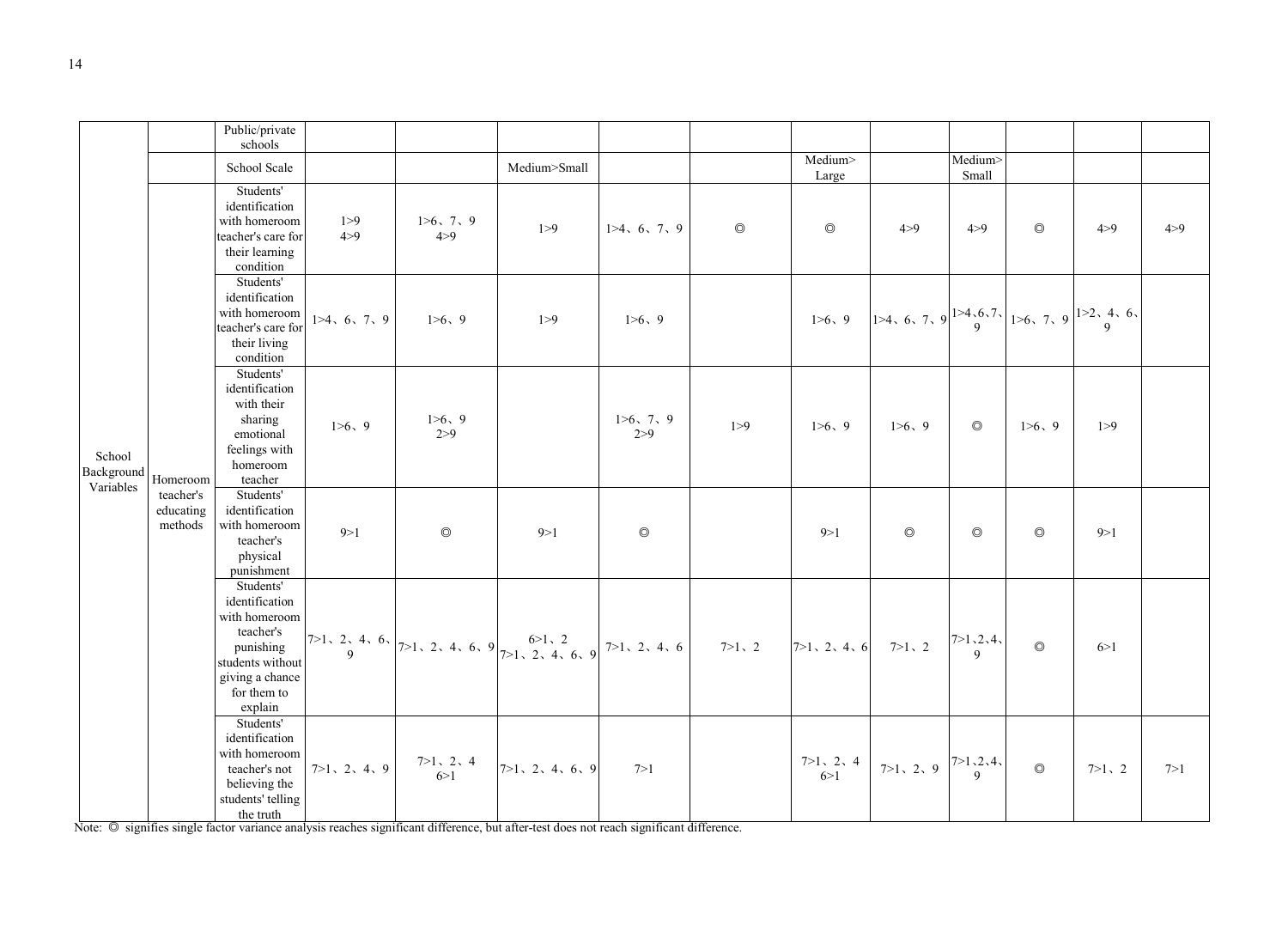|                                   |                                   | Public/private<br>schools                                                                                                               |                |                    |                                                                                                                                                                                                                                                                                                                                                   |                    |                |                                             |                |                  |                |                                                                                                                                                                                                                   |       |
|-----------------------------------|-----------------------------------|-----------------------------------------------------------------------------------------------------------------------------------------|----------------|--------------------|---------------------------------------------------------------------------------------------------------------------------------------------------------------------------------------------------------------------------------------------------------------------------------------------------------------------------------------------------|--------------------|----------------|---------------------------------------------|----------------|------------------|----------------|-------------------------------------------------------------------------------------------------------------------------------------------------------------------------------------------------------------------|-------|
|                                   |                                   | School Scale                                                                                                                            |                |                    | Medium>Small                                                                                                                                                                                                                                                                                                                                      |                    |                | Medium><br>Large                            |                | Medium><br>Small |                |                                                                                                                                                                                                                   |       |
|                                   |                                   | Students'<br>identification<br>with homeroom<br>teacher's care for<br>their learning<br>condition                                       | 1 > 9<br>4 > 9 | 1>6, 7, 9<br>4 > 9 | 1 > 9                                                                                                                                                                                                                                                                                                                                             | 1>4, 6, 7, 9       | $\circledcirc$ | $\circledcirc$                              | 4 > 9          | 4 > 9            | $\circledcirc$ | 4 > 9                                                                                                                                                                                                             | 4 > 9 |
| School<br>Background<br>Variables | Homeroom                          | Students'<br>identification<br>with homeroom<br>teacher's care for<br>their living<br>condition                                         | 1>4, 6, 7, 9   | 1>6, 9             | 1 > 9                                                                                                                                                                                                                                                                                                                                             | 1>6, 9             |                |                                             |                |                  |                | 1>6, 9   1>4, 6, 7, 9 $\begin{vmatrix} 1 & 4 & 6 \\ 0 & 1 & 9 \end{vmatrix}$ 1>4, 6, 7, 9 $\begin{vmatrix} 1 & 2 & 4 \\ 9 & 9 & 9 \end{vmatrix}$ 1>6, 7, 9 $\begin{vmatrix} 1 & 2 & 4 \\ 9 & 9 & 9 \end{vmatrix}$ |       |
|                                   |                                   | Students'<br>identification<br>with their<br>sharing<br>emotional<br>feelings with<br>homeroom<br>teacher                               | 1>6, 9         | 1>6, 9<br>2 > 9    |                                                                                                                                                                                                                                                                                                                                                   | 1>6, 7, 9<br>2 > 9 | 1 > 9          | 1>6, 9                                      | 1>6, 9         | $\circledcirc$   | 1>6, 9         | 1 > 9                                                                                                                                                                                                             |       |
|                                   | teacher's<br>educating<br>methods | Students'<br>identification<br>with homeroom<br>teacher's<br>physical<br>punishment                                                     | 9 > 1          | $\circledcirc$     | 9 > 1                                                                                                                                                                                                                                                                                                                                             | $\circledcirc$     |                | 9 > 1                                       | $\circledcirc$ | $\circledcirc$   | $\circledcirc$ | 9 > 1                                                                                                                                                                                                             |       |
|                                   |                                   | Students'<br>identification<br>with homeroom<br>teacher's<br>punishing<br>students without<br>giving a chance<br>for them to<br>explain |                |                    | $\begin{vmatrix} 7 & 2 & 4 & 6 \\ 9 & 2 & 1 & 2 \\ 4 & 6 & 7 & 1 \end{vmatrix}$<br>7 -1, 2, 4, 6, 9 $\begin{vmatrix} 6 & 2 & 2 \\ 7 & 2 & 4 & 6 \\ 1 & 2 & 3 & 4 \end{vmatrix}$<br>7 -1, 2, 4, 6 $\begin{vmatrix} 7 & 2 & 4 & 6 \\ 7 & 2 & 4 & 6 \\ 1 & 2 & 2 & 4 \end{vmatrix}$<br>7 -1, 2, 4, 6 $\begin{vmatrix} 7 & 2 & 4 & 6 \\ 9 & 1 & 2 & $ |                    |                |                                             |                |                  | $\circledcirc$ | 6 > 1                                                                                                                                                                                                             |       |
|                                   |                                   | Students'<br>identification<br>with homeroom<br>teacher's not<br>believing the<br>students' telling<br>the truth                        | 7>1, 2, 4, 9   |                    | $\begin{array}{ccc} 7>1, & 2, & 4 \\ 6>1 & & 7>1, & 2, & 4, & 6, & 9 \end{array}$<br>Note: © signifies single factor variance analysis reaches significant difference, but after-test does not reach significant difference.                                                                                                                      | 7>1                |                | $7>1, 2, 4$ $7>1, 2, 9$ $7>1, 2, 4$ $\circ$ |                |                  |                | $7>1$ , 2                                                                                                                                                                                                         | 7 > 1 |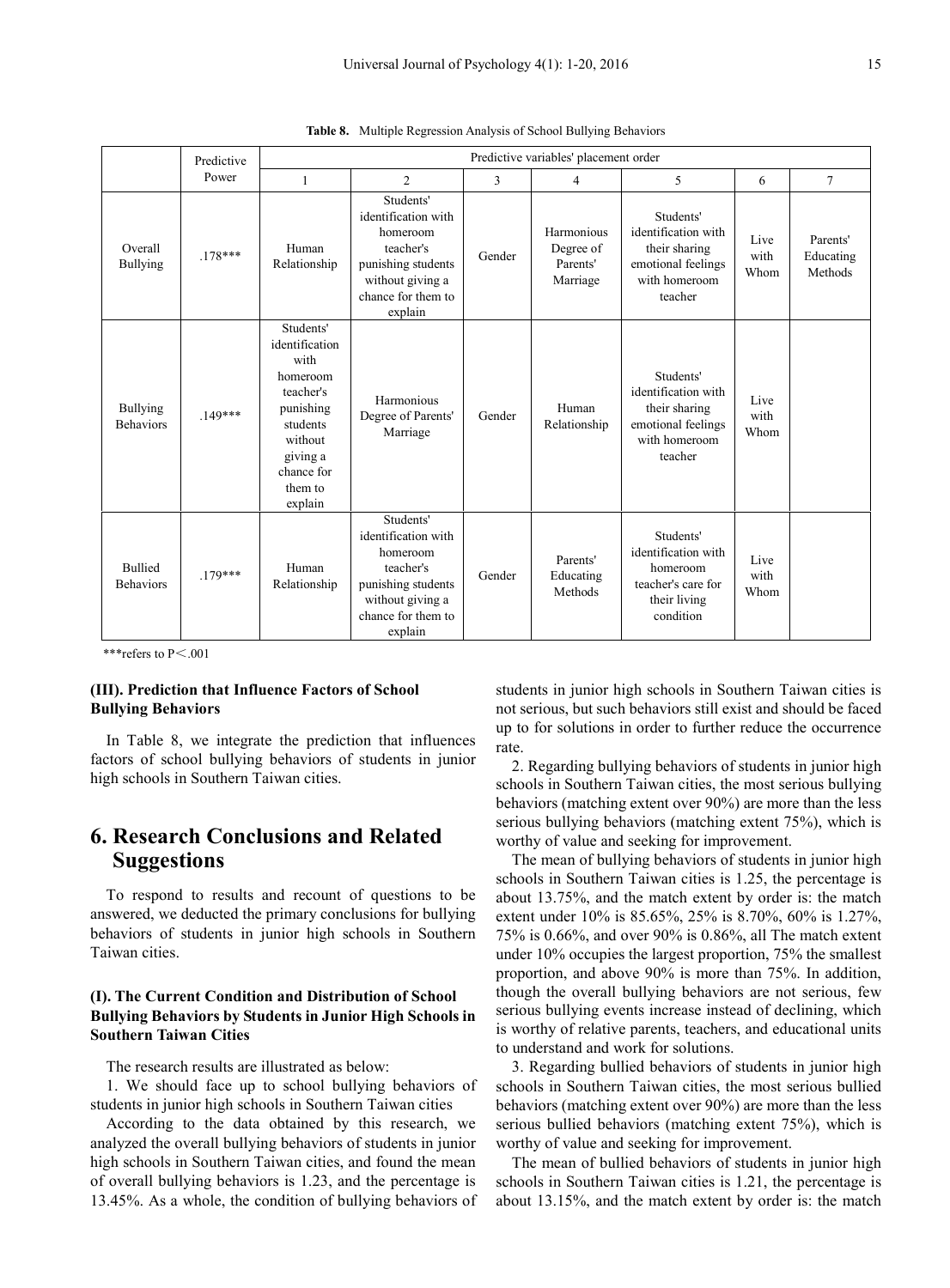|                                     | Predictive |                                                                                                                                                  |                                                                                                                                      |        | Predictive variables' placement order           |                                                                                                     |                      |                                  |
|-------------------------------------|------------|--------------------------------------------------------------------------------------------------------------------------------------------------|--------------------------------------------------------------------------------------------------------------------------------------|--------|-------------------------------------------------|-----------------------------------------------------------------------------------------------------|----------------------|----------------------------------|
|                                     | Power      | 1                                                                                                                                                | $\overline{c}$                                                                                                                       | 3      | $\overline{4}$                                  | 5                                                                                                   | 6                    | $\overline{7}$                   |
| Overall<br><b>Bullying</b>          | $.178***$  | Human<br>Relationship                                                                                                                            | Students'<br>identification with<br>homeroom<br>teacher's<br>punishing students<br>without giving a<br>chance for them to<br>explain | Gender | Harmonious<br>Degree of<br>Parents'<br>Marriage | Students'<br>identification with<br>their sharing<br>emotional feelings<br>with homeroom<br>teacher | Live<br>with<br>Whom | Parents'<br>Educating<br>Methods |
| <b>Bullying</b><br><b>Behaviors</b> | $.149***$  | Students'<br>identification<br>with<br>homeroom<br>teacher's<br>punishing<br>students<br>without<br>giving a<br>chance for<br>them to<br>explain | Harmonious<br>Degree of Parents'<br>Marriage                                                                                         | Gender | Human<br>Relationship                           | Students'<br>identification with<br>their sharing<br>emotional feelings<br>with homeroom<br>teacher | Live<br>with<br>Whom |                                  |
| <b>Bullied</b><br><b>Behaviors</b>  | $.179***$  | Human<br>Relationship                                                                                                                            | Students'<br>identification with<br>homeroom<br>teacher's<br>punishing students<br>without giving a<br>chance for them to<br>explain | Gender | Parents'<br>Educating<br>Methods                | Students'<br>identification with<br>homeroom<br>teacher's care for<br>their living<br>condition     | Live<br>with<br>Whom |                                  |

**Table 8.** Multiple Regression Analysis of School Bullying Behaviors

\*\*\*refers to  $P<.001$ 

## **(III). Prediction that Influence Factors of School Bullying Behaviors**

In Table 8, we integrate the prediction that influences factors of school bullying behaviors of students in junior high schools in Southern Taiwan cities.

# **6. Research Conclusions and Related Suggestions**

To respond to results and recount of questions to be answered, we deducted the primary conclusions for bullying behaviors of students in junior high schools in Southern Taiwan cities.

# **(I). The Current Condition and Distribution of School Bullying Behaviors by Students in Junior High Schools in Southern Taiwan Cities**

The research results are illustrated as below:

1. We should face up to school bullying behaviors of students in junior high schools in Southern Taiwan cities

According to the data obtained by this research, we analyzed the overall bullying behaviors of students in junior high schools in Southern Taiwan cities, and found the mean of overall bullying behaviors is 1.23, and the percentage is 13.45%. As a whole, the condition of bullying behaviors of

students in junior high schools in Southern Taiwan cities is not serious, but such behaviors still exist and should be faced up to for solutions in order to further reduce the occurrence rate.

2. Regarding bullying behaviors of students in junior high schools in Southern Taiwan cities, the most serious bullying behaviors (matching extent over 90%) are more than the less serious bullying behaviors (matching extent 75%), which is worthy of value and seeking for improvement.

The mean of bullying behaviors of students in junior high schools in Southern Taiwan cities is 1.25, the percentage is about 13.75%, and the match extent by order is: the match extent under 10% is 85.65%, 25% is 8.70%, 60% is 1.27%, 75% is 0.66%, and over 90% is 0.86%, all The match extent under 10% occupies the largest proportion, 75% the smallest proportion, and above 90% is more than 75%. In addition, though the overall bullying behaviors are not serious, few serious bullying events increase instead of declining, which is worthy of relative parents, teachers, and educational units to understand and work for solutions.

3. Regarding bullied behaviors of students in junior high schools in Southern Taiwan cities, the most serious bullied behaviors (matching extent over 90%) are more than the less serious bullied behaviors (matching extent 75%), which is worthy of value and seeking for improvement.

The mean of bullied behaviors of students in junior high schools in Southern Taiwan cities is 1.21, the percentage is about 13.15%, and the match extent by order is: the match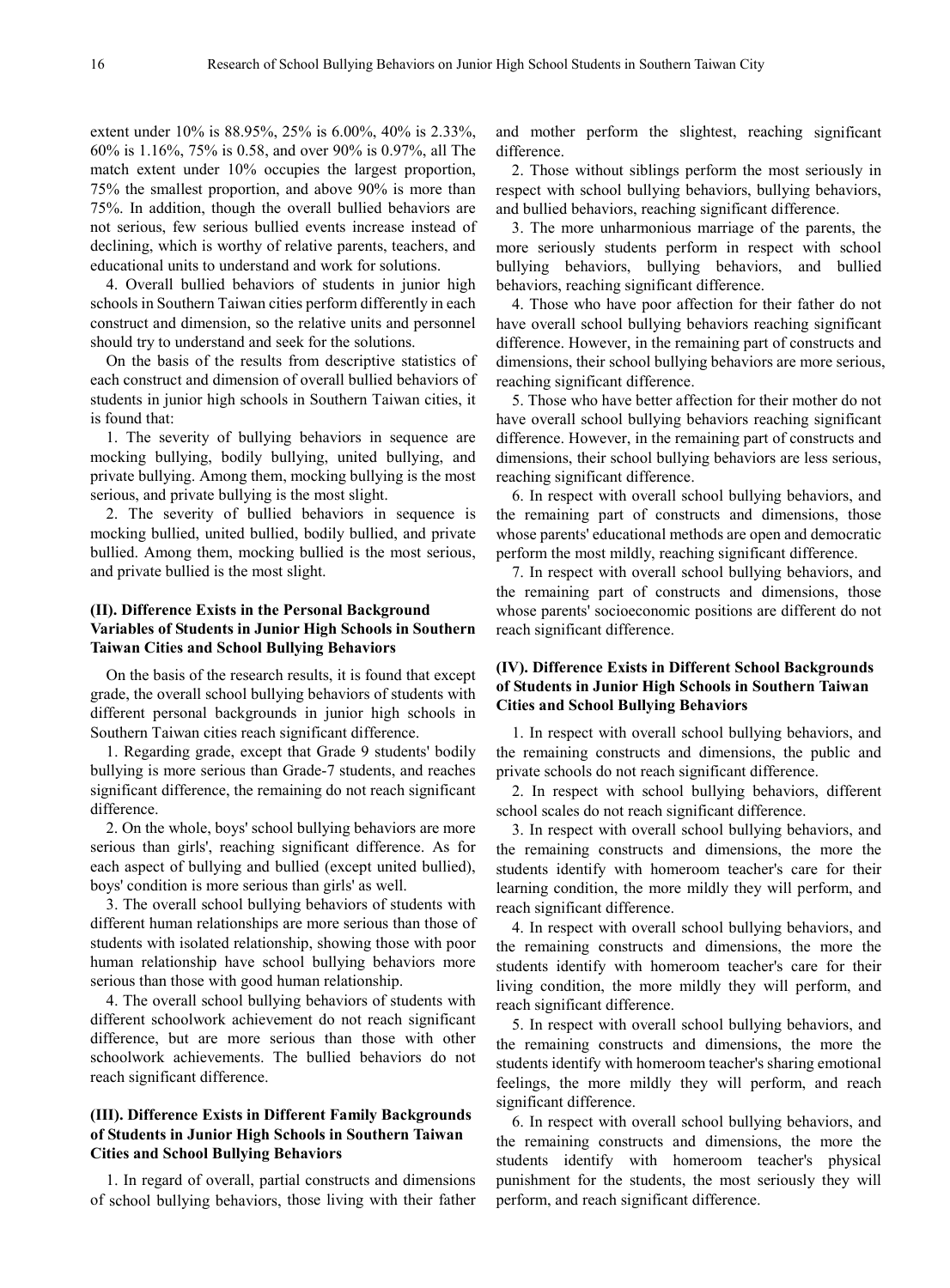extent under 10% is 88.95%, 25% is 6.00%, 40% is 2.33%, 60% is 1.16%, 75% is 0.58, and over 90% is 0.97%, all The match extent under 10% occupies the largest proportion, 75% the smallest proportion, and above 90% is more than 75%. In addition, though the overall bullied behaviors are not serious, few serious bullied events increase instead of declining, which is worthy of relative parents, teachers, and educational units to understand and work for solutions.

4. Overall bullied behaviors of students in junior high schools in Southern Taiwan cities perform differently in each construct and dimension, so the relative units and personnel should try to understand and seek for the solutions.

On the basis of the results from descriptive statistics of each construct and dimension of overall bullied behaviors of students in junior high schools in Southern Taiwan cities, it is found that:

1. The severity of bullying behaviors in sequence are mocking bullying, bodily bullying, united bullying, and private bullying. Among them, mocking bullying is the most serious, and private bullying is the most slight.

2. The severity of bullied behaviors in sequence is mocking bullied, united bullied, bodily bullied, and private bullied. Among them, mocking bullied is the most serious, and private bullied is the most slight.

# **(II). Difference Exists in the Personal Background Variables of Students in Junior High Schools in Southern Taiwan Cities and School Bullying Behaviors**

On the basis of the research results, it is found that except grade, the overall school bullying behaviors of students with different personal backgrounds in junior high schools in Southern Taiwan cities reach significant difference.

1. Regarding grade, except that Grade 9 students' bodily bullying is more serious than Grade-7 students, and reaches significant difference, the remaining do not reach significant difference.

2. On the whole, boys' school bullying behaviors are more serious than girls', reaching significant difference. As for each aspect of bullying and bullied (except united bullied), boys' condition is more serious than girls' as well.

3. The overall school bullying behaviors of students with different human relationships are more serious than those of students with isolated relationship, showing those with poor human relationship have school bullying behaviors more serious than those with good human relationship.

4. The overall school bullying behaviors of students with different schoolwork achievement do not reach significant difference, but are more serious than those with other schoolwork achievements. The bullied behaviors do not reach significant difference.

# **(III). Difference Exists in Different Family Backgrounds of Students in Junior High Schools in Southern Taiwan Cities and School Bullying Behaviors**

1. In regard of overall, partial constructs and dimensions of school bullying behaviors, those living with their father and mother perform the slightest, reaching significant difference.

2. Those without siblings perform the most seriously in respect with school bullying behaviors, bullying behaviors, and bullied behaviors, reaching significant difference.

3. The more unharmonious marriage of the parents, the more seriously students perform in respect with school bullying behaviors, bullying behaviors, and bullied behaviors, reaching significant difference.

4. Those who have poor affection for their father do not have overall school bullying behaviors reaching significant difference. However, in the remaining part of constructs and dimensions, their school bullying behaviors are more serious, reaching significant difference.

5. Those who have better affection for their mother do not have overall school bullying behaviors reaching significant difference. However, in the remaining part of constructs and dimensions, their school bullying behaviors are less serious, reaching significant difference.

6. In respect with overall school bullying behaviors, and the remaining part of constructs and dimensions, those whose parents' educational methods are open and democratic perform the most mildly, reaching significant difference.

7. In respect with overall school bullying behaviors, and the remaining part of constructs and dimensions, those whose parents' socioeconomic positions are different do not reach significant difference.

# **(IV). Difference Exists in Different School Backgrounds of Students in Junior High Schools in Southern Taiwan Cities and School Bullying Behaviors**

1. In respect with overall school bullying behaviors, and the remaining constructs and dimensions, the public and private schools do not reach significant difference.

2. In respect with school bullying behaviors, different school scales do not reach significant difference.

3. In respect with overall school bullying behaviors, and the remaining constructs and dimensions, the more the students identify with homeroom teacher's care for their learning condition, the more mildly they will perform, and reach significant difference.

4. In respect with overall school bullying behaviors, and the remaining constructs and dimensions, the more the students identify with homeroom teacher's care for their living condition, the more mildly they will perform, and reach significant difference.

5. In respect with overall school bullying behaviors, and the remaining constructs and dimensions, the more the students identify with homeroom teacher's sharing emotional feelings, the more mildly they will perform, and reach significant difference.

6. In respect with overall school bullying behaviors, and the remaining constructs and dimensions, the more the students identify with homeroom teacher's physical punishment for the students, the most seriously they will perform, and reach significant difference.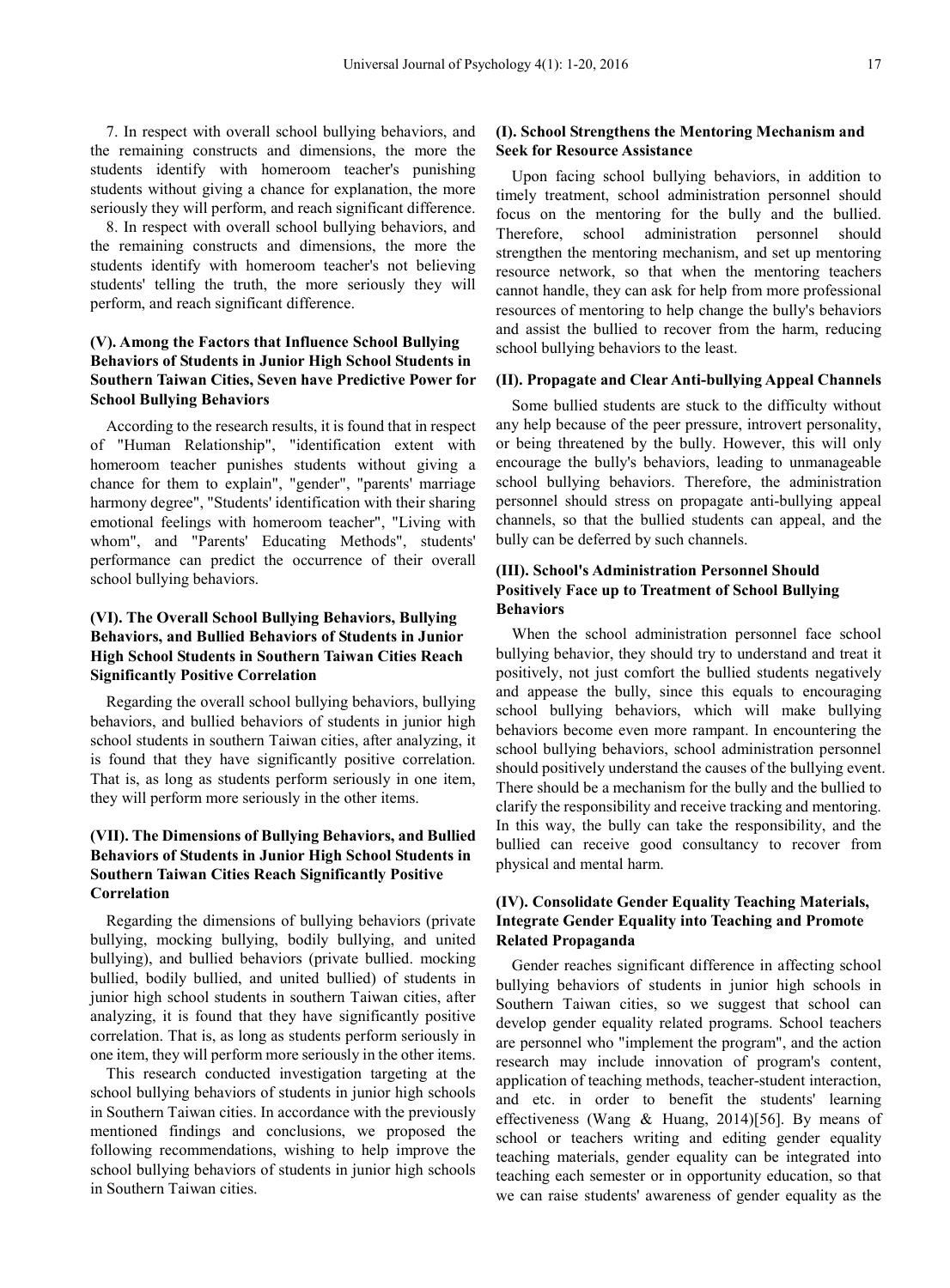7. In respect with overall school bullying behaviors, and the remaining constructs and dimensions, the more the students identify with homeroom teacher's punishing students without giving a chance for explanation, the more seriously they will perform, and reach significant difference.

8. In respect with overall school bullying behaviors, and the remaining constructs and dimensions, the more the students identify with homeroom teacher's not believing students' telling the truth, the more seriously they will perform, and reach significant difference.

# **(V). Among the Factors that Influence School Bullying Behaviors of Students in Junior High School Students in Southern Taiwan Cities, Seven have Predictive Power for School Bullying Behaviors**

According to the research results, it is found that in respect of "Human Relationship", "identification extent with homeroom teacher punishes students without giving a chance for them to explain", "gender", "parents' marriage harmony degree", "Students' identification with their sharing emotional feelings with homeroom teacher", "Living with whom", and "Parents' Educating Methods", students' performance can predict the occurrence of their overall school bullying behaviors.

# **(VI). The Overall School Bullying Behaviors, Bullying Behaviors, and Bullied Behaviors of Students in Junior High School Students in Southern Taiwan Cities Reach Significantly Positive Correlation**

Regarding the overall school bullying behaviors, bullying behaviors, and bullied behaviors of students in junior high school students in southern Taiwan cities, after analyzing, it is found that they have significantly positive correlation. That is, as long as students perform seriously in one item, they will perform more seriously in the other items.

# **(VII). The Dimensions of Bullying Behaviors, and Bullied Behaviors of Students in Junior High School Students in Southern Taiwan Cities Reach Significantly Positive Correlation**

Regarding the dimensions of bullying behaviors (private bullying, mocking bullying, bodily bullying, and united bullying), and bullied behaviors (private bullied. mocking bullied, bodily bullied, and united bullied) of students in junior high school students in southern Taiwan cities, after analyzing, it is found that they have significantly positive correlation. That is, as long as students perform seriously in one item, they will perform more seriously in the other items.

This research conducted investigation targeting at the school bullying behaviors of students in junior high schools in Southern Taiwan cities. In accordance with the previously mentioned findings and conclusions, we proposed the following recommendations, wishing to help improve the school bullying behaviors of students in junior high schools in Southern Taiwan cities.

## **(I). School Strengthens the Mentoring Mechanism and Seek for Resource Assistance**

Upon facing school bullying behaviors, in addition to timely treatment, school administration personnel should focus on the mentoring for the bully and the bullied. Therefore, school administration personnel should strengthen the mentoring mechanism, and set up mentoring resource network, so that when the mentoring teachers cannot handle, they can ask for help from more professional resources of mentoring to help change the bully's behaviors and assist the bullied to recover from the harm, reducing school bullying behaviors to the least.

## **(II). Propagate and Clear Anti-bullying Appeal Channels**

Some bullied students are stuck to the difficulty without any help because of the peer pressure, introvert personality, or being threatened by the bully. However, this will only encourage the bully's behaviors, leading to unmanageable school bullying behaviors. Therefore, the administration personnel should stress on propagate anti-bullying appeal channels, so that the bullied students can appeal, and the bully can be deferred by such channels.

# **(III). School's Administration Personnel Should Positively Face up to Treatment of School Bullying Behaviors**

When the school administration personnel face school bullying behavior, they should try to understand and treat it positively, not just comfort the bullied students negatively and appease the bully, since this equals to encouraging school bullying behaviors, which will make bullying behaviors become even more rampant. In encountering the school bullying behaviors, school administration personnel should positively understand the causes of the bullying event. There should be a mechanism for the bully and the bullied to clarify the responsibility and receive tracking and mentoring. In this way, the bully can take the responsibility, and the bullied can receive good consultancy to recover from physical and mental harm.

# **(IV). Consolidate Gender Equality Teaching Materials, Integrate Gender Equality into Teaching and Promote Related Propaganda**

Gender reaches significant difference in affecting school bullying behaviors of students in junior high schools in Southern Taiwan cities, so we suggest that school can develop gender equality related programs. School teachers are personnel who "implement the program", and the action research may include innovation of program's content, application of teaching methods, teacher-student interaction, and etc. in order to benefit the students' learning effectiveness (Wang & Huang, 2014)[56]. By means of school or teachers writing and editing gender equality teaching materials, gender equality can be integrated into teaching each semester or in opportunity education, so that we can raise students' awareness of gender equality as the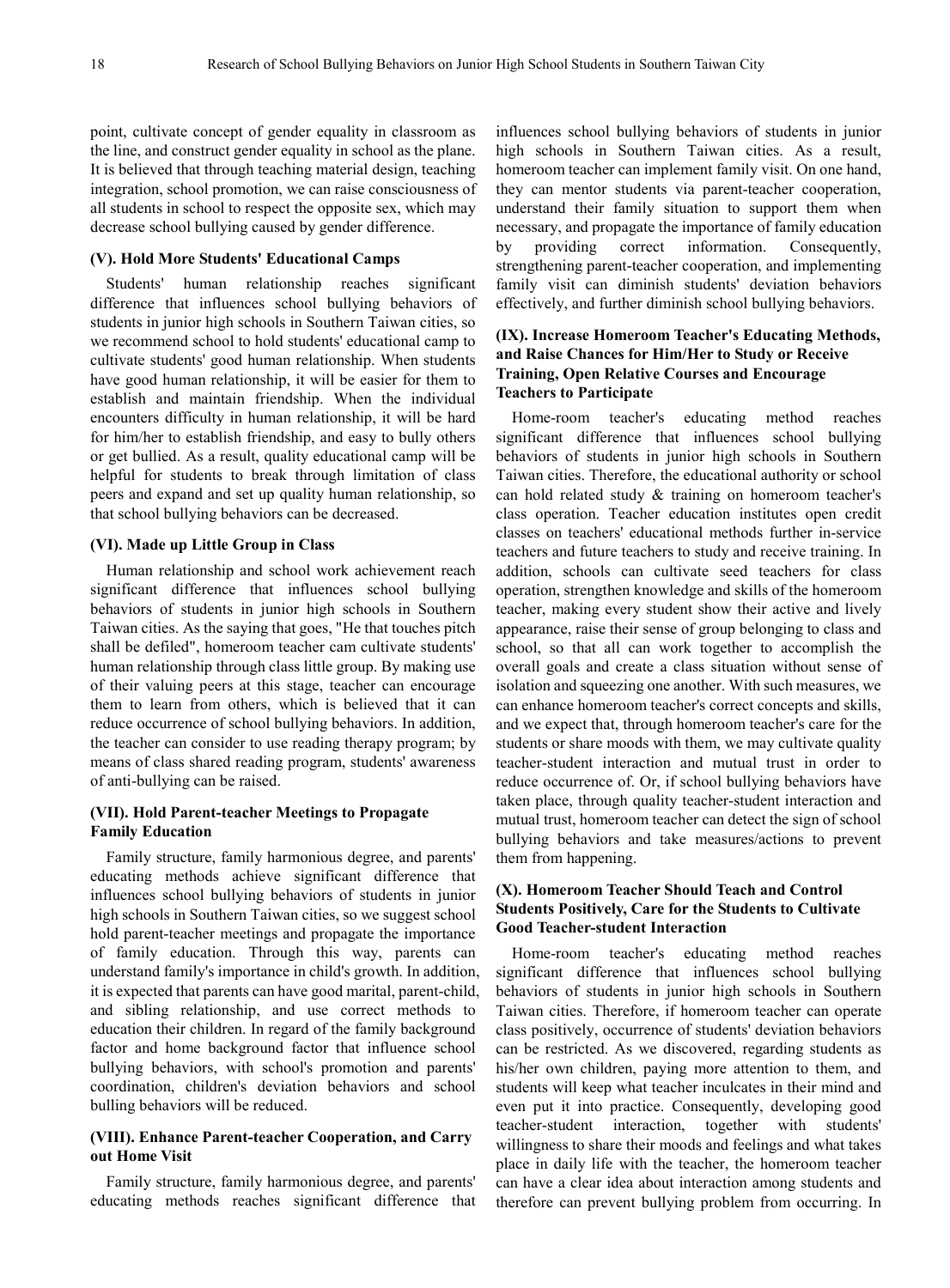point, cultivate concept of gender equality in classroom as the line, and construct gender equality in school as the plane. It is believed that through teaching material design, teaching integration, school promotion, we can raise consciousness of all students in school to respect the opposite sex, which may decrease school bullying caused by gender difference.

#### **(V). Hold More Students' Educational Camps**

Students' human relationship reaches significant difference that influences school bullying behaviors of students in junior high schools in Southern Taiwan cities, so we recommend school to hold students' educational camp to cultivate students' good human relationship. When students have good human relationship, it will be easier for them to establish and maintain friendship. When the individual encounters difficulty in human relationship, it will be hard for him/her to establish friendship, and easy to bully others or get bullied. As a result, quality educational camp will be helpful for students to break through limitation of class peers and expand and set up quality human relationship, so that school bullying behaviors can be decreased.

## **(VI). Made up Little Group in Class**

Human relationship and school work achievement reach significant difference that influences school bullying behaviors of students in junior high schools in Southern Taiwan cities. As the saying that goes, "He that touches pitch shall be defiled", homeroom teacher cam cultivate students' human relationship through class little group. By making use of their valuing peers at this stage, teacher can encourage them to learn from others, which is believed that it can reduce occurrence of school bullying behaviors. In addition, the teacher can consider to use reading therapy program; by means of class shared reading program, students' awareness of anti-bullying can be raised.

## **(VII). Hold Parent-teacher Meetings to Propagate Family Education**

Family structure, family harmonious degree, and parents' educating methods achieve significant difference that influences school bullying behaviors of students in junior high schools in Southern Taiwan cities, so we suggest school hold parent-teacher meetings and propagate the importance of family education. Through this way, parents can understand family's importance in child's growth. In addition, it is expected that parents can have good marital, parent-child, and sibling relationship, and use correct methods to education their children. In regard of the family background factor and home background factor that influence school bullying behaviors, with school's promotion and parents' coordination, children's deviation behaviors and school bulling behaviors will be reduced.

# **(VIII). Enhance Parent-teacher Cooperation, and Carry out Home Visit**

Family structure, family harmonious degree, and parents' educating methods reaches significant difference that

influences school bullying behaviors of students in junior high schools in Southern Taiwan cities. As a result, homeroom teacher can implement family visit. On one hand, they can mentor students via parent-teacher cooperation, understand their family situation to support them when necessary, and propagate the importance of family education by providing correct information. Consequently, strengthening parent-teacher cooperation, and implementing family visit can diminish students' deviation behaviors effectively, and further diminish school bullying behaviors.

# **(IX). Increase Homeroom Teacher's Educating Methods, and Raise Chances for Him/Her to Study or Receive Training, Open Relative Courses and Encourage Teachers to Participate**

Home-room teacher's educating method reaches significant difference that influences school bullying behaviors of students in junior high schools in Southern Taiwan cities. Therefore, the educational authority or school can hold related study & training on homeroom teacher's class operation. Teacher education institutes open credit classes on teachers' educational methods further in-service teachers and future teachers to study and receive training. In addition, schools can cultivate seed teachers for class operation, strengthen knowledge and skills of the homeroom teacher, making every student show their active and lively appearance, raise their sense of group belonging to class and school, so that all can work together to accomplish the overall goals and create a class situation without sense of isolation and squeezing one another. With such measures, we can enhance homeroom teacher's correct concepts and skills, and we expect that, through homeroom teacher's care for the students or share moods with them, we may cultivate quality teacher-student interaction and mutual trust in order to reduce occurrence of. Or, if school bullying behaviors have taken place, through quality teacher-student interaction and mutual trust, homeroom teacher can detect the sign of school bullying behaviors and take measures/actions to prevent them from happening.

# **(X). Homeroom Teacher Should Teach and Control Students Positively, Care for the Students to Cultivate Good Teacher-student Interaction**

Home-room teacher's educating method reaches significant difference that influences school bullying behaviors of students in junior high schools in Southern Taiwan cities. Therefore, if homeroom teacher can operate class positively, occurrence of students' deviation behaviors can be restricted. As we discovered, regarding students as his/her own children, paying more attention to them, and students will keep what teacher inculcates in their mind and even put it into practice. Consequently, developing good teacher-student interaction, together with students' willingness to share their moods and feelings and what takes place in daily life with the teacher, the homeroom teacher can have a clear idea about interaction among students and therefore can prevent bullying problem from occurring. In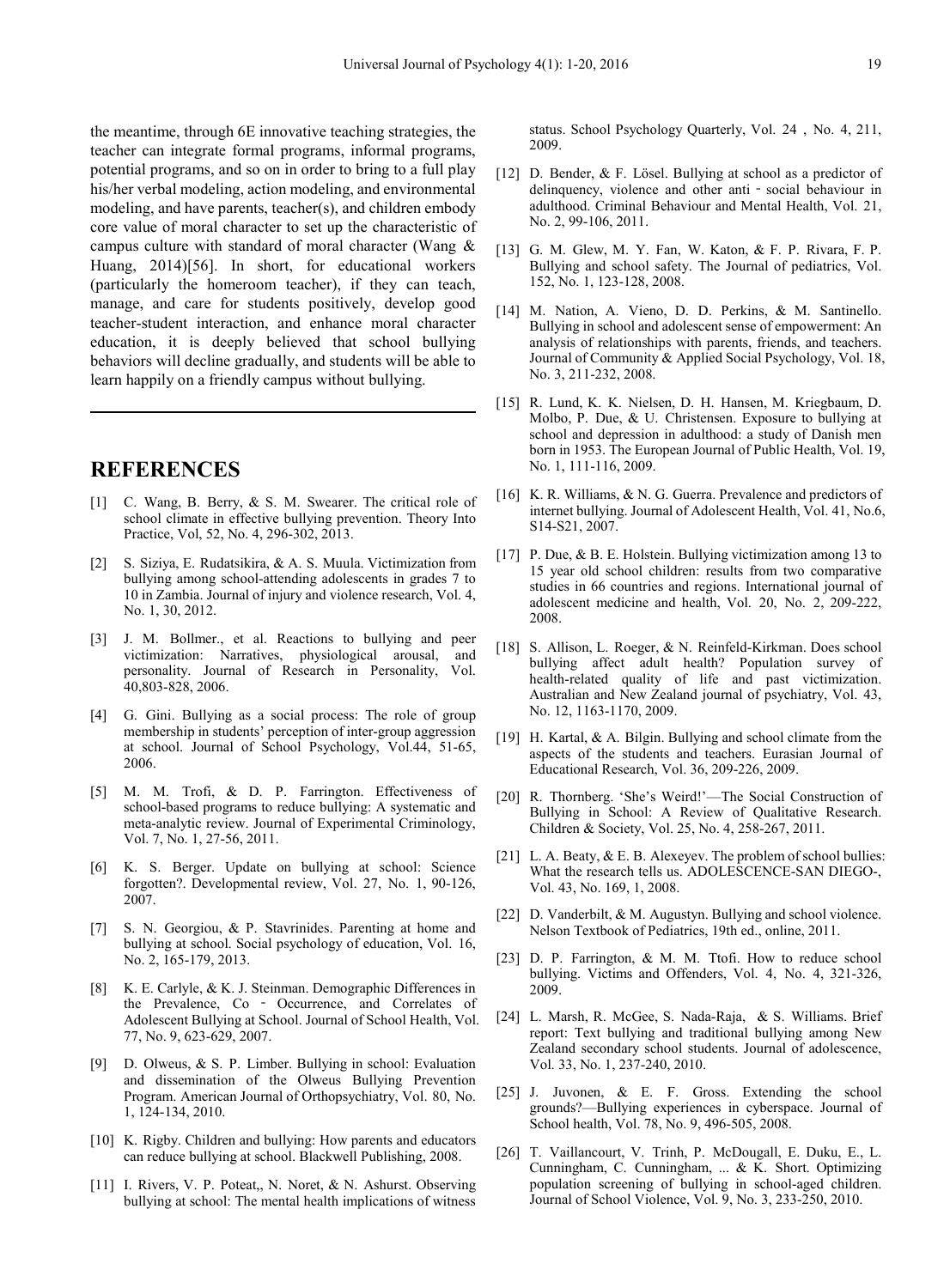the meantime, through 6E innovative teaching strategies, the teacher can integrate formal programs, informal programs, potential programs, and so on in order to bring to a full play his/her verbal modeling, action modeling, and environmental modeling, and have parents, teacher(s), and children embody core value of moral character to set up the characteristic of campus culture with standard of moral character (Wang & Huang, 2014)[56]. In short, for educational workers (particularly the homeroom teacher), if they can teach, manage, and care for students positively, develop good teacher-student interaction, and enhance moral character education, it is deeply believed that school bullying behaviors will decline gradually, and students will be able to learn happily on a friendly campus without bullying.

# **REFERENCES**

- [1] C. Wang, B. Berry, & S. M. Swearer. The critical role of school climate in effective bullying prevention. Theory Into Practice, Vol, 52, No. 4, 296-302, 2013.
- [2] S. Siziya, E. Rudatsikira, & A. S. Muula. Victimization from bullying among school-attending adolescents in grades 7 to 10 in Zambia. Journal of injury and violence research, Vol. 4, No. 1, 30, 2012.
- [3] J. M. Bollmer., et al. Reactions to bullying and peer victimization: Narratives, physiological arousal, and personality. Journal of Research in Personality, Vol. 40,803-828, 2006.
- [4] G. Gini. Bullying as a social process: The role of group membership in students' perception of inter-group aggression at school. Journal of School Psychology, Vol.44, 51-65, 2006.
- [5] M. M. Trofi, & D. P. Farrington. Effectiveness of school-based programs to reduce bullying: A systematic and meta-analytic review. Journal of Experimental Criminology, Vol. 7, No. 1, 27-56, 2011.
- [6] K. S. Berger. Update on bullying at school: Science forgotten?. Developmental review, Vol. 27, No. 1, 90-126, 2007.
- [7] S. N. Georgiou, & P. Stavrinides. Parenting at home and bullying at school. Social psychology of education, Vol. 16, No. 2, 165-179, 2013.
- [8] K. E. Carlyle, & K. J. Steinman. Demographic Differences in the Prevalence, Co ‐ Occurrence, and Correlates of Adolescent Bullying at School. Journal of School Health, Vol. 77, No. 9, 623-629, 2007.
- [9] D. Olweus, & S. P. Limber. Bullying in school: Evaluation and dissemination of the Olweus Bullying Prevention Program. American Journal of Orthopsychiatry, Vol. 80, No. 1, 124-134, 2010.
- [10] K. Rigby. Children and bullying: How parents and educators can reduce bullying at school. Blackwell Publishing, 2008.
- [11] I. Rivers, V. P. Poteat,, N. Noret, & N. Ashurst. Observing bullying at school: The mental health implications of witness

status. School Psychology Quarterly, Vol. 24 , No. 4, 211, 2009.

- [12] D. Bender, & F. Lösel. Bullying at school as a predictor of delinquency, violence and other anti - social behaviour in adulthood. Criminal Behaviour and Mental Health, Vol. 21, No. 2, 99-106, 2011.
- [13] G. M. Glew, M. Y. Fan, W. Katon, & F. P. Rivara, F. P. Bullying and school safety. The Journal of pediatrics, Vol. 152, No. 1, 123-128, 2008.
- [14] M. Nation, A. Vieno, D. D. Perkins, & M. Santinello. Bullying in school and adolescent sense of empowerment: An analysis of relationships with parents, friends, and teachers. Journal of Community & Applied Social Psychology, Vol. 18, No. 3, 211-232, 2008.
- [15] R. Lund, K. K. Nielsen, D. H. Hansen, M. Kriegbaum, D. Molbo, P. Due, & U. Christensen. Exposure to bullying at school and depression in adulthood: a study of Danish men born in 1953. The European Journal of Public Health, Vol. 19, No. 1, 111-116, 2009.
- [16] K. R. Williams, & N. G. Guerra. Prevalence and predictors of internet bullying. Journal of Adolescent Health, Vol. 41, No.6, S14-S21, 2007.
- [17] P. Due, & B. E. Holstein. Bullying victimization among 13 to 15 year old school children: results from two comparative studies in 66 countries and regions. International journal of adolescent medicine and health, Vol. 20, No. 2, 209-222, 2008.
- [18] S. Allison, L. Roeger, & N. Reinfeld-Kirkman. Does school bullying affect adult health? Population survey of health-related quality of life and past victimization. Australian and New Zealand journal of psychiatry, Vol. 43, No. 12, 1163-1170, 2009.
- [19] H. Kartal, & A. Bilgin. Bullying and school climate from the aspects of the students and teachers. Eurasian Journal of Educational Research, Vol. 36, 209-226, 2009.
- [20] R. Thornberg. 'She's Weird!'—The Social Construction of Bullying in School: A Review of Qualitative Research. Children & Society, Vol. 25, No. 4, 258-267, 2011.
- [21] L. A. Beaty, & E. B. Alexeyev. The problem of school bullies: What the research tells us. ADOLESCENCE-SAN DIEGO-, Vol. 43, No. 169, 1, 2008.
- [22] D. Vanderbilt, & M. Augustyn. Bullying and school violence. Nelson Textbook of Pediatrics, 19th ed., online, 2011.
- [23] D. P. Farrington, & M. M. Ttofi. How to reduce school bullying. Victims and Offenders, Vol. 4, No. 4, 321-326, 2009.
- [24] L. Marsh, R. McGee, S. Nada-Raja, & S. Williams. Brief report: Text bullying and traditional bullying among New Zealand secondary school students. Journal of adolescence, Vol. 33, No. 1, 237-240, 2010.
- [25] J. Juvonen, & E. F. Gross. Extending the school grounds?—Bullying experiences in cyberspace. Journal of School health, Vol. 78, No. 9, 496-505, 2008.
- [26] T. Vaillancourt, V. Trinh, P. McDougall, E. Duku, E., L. Cunningham, C. Cunningham, ... & K. Short. Optimizing population screening of bullying in school-aged children. Journal of School Violence, Vol. 9, No. 3, 233-250, 2010.